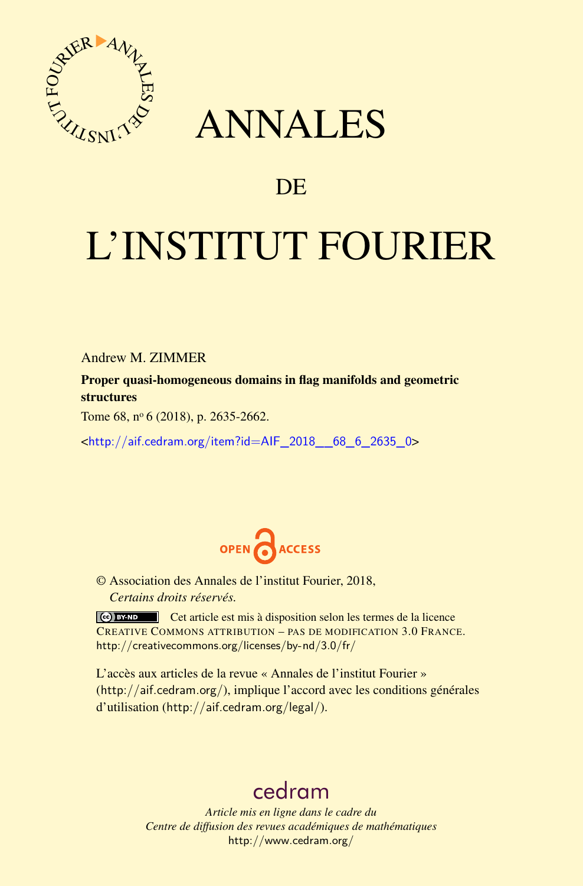

## ANNALES

### **DE**

# L'INSTITUT FOURIER

Andrew M. ZIMMER

Proper quasi-homogeneous domains in flag manifolds and geometric structures

Tome 68, nº 6 (2018), p. 2635-2662.

<[http://aif.cedram.org/item?id=AIF\\_2018\\_\\_68\\_6\\_2635\\_0](http://aif.cedram.org/item?id=AIF_2018__68_6_2635_0)>



© Association des Annales de l'institut Fourier, 2018, *Certains droits réservés.*

Cet article est mis à disposition selon les termes de la licence CREATIVE COMMONS ATTRIBUTION – PAS DE MODIFICATION 3.0 FRANCE. <http://creativecommons.org/licenses/by-nd/3.0/fr/>

L'accès aux articles de la revue « Annales de l'institut Fourier » (<http://aif.cedram.org/>), implique l'accord avec les conditions générales d'utilisation (<http://aif.cedram.org/legal/>).

## [cedram](http://www.cedram.org/)

*Article mis en ligne dans le cadre du Centre de diffusion des revues académiques de mathématiques* <http://www.cedram.org/>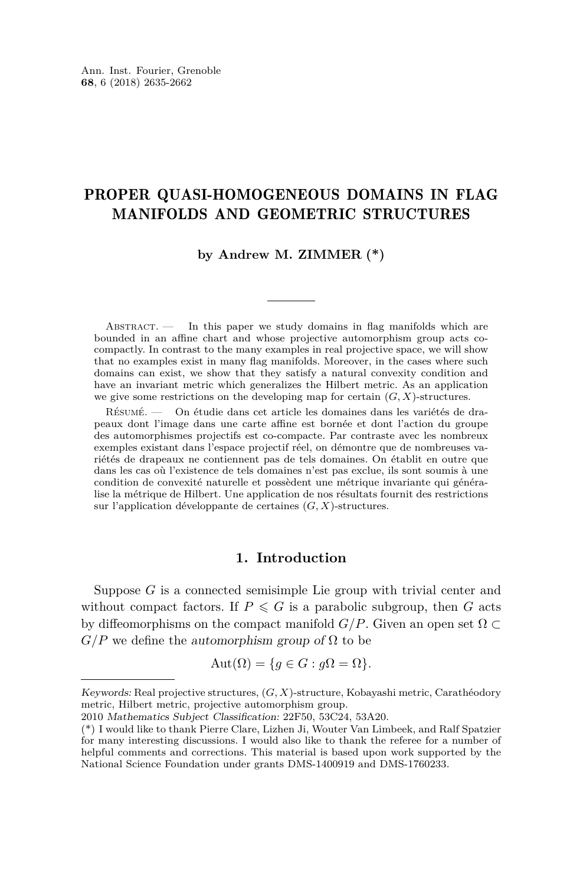#### PROPER QUASI-HOMOGENEOUS DOMAINS IN FLAG MANIFOLDS AND GEOMETRIC STRUCTURES

#### **by Andrew M. ZIMMER (\*)**

 $ABSTRACT.$  — In this paper we study domains in flag manifolds which are bounded in an affine chart and whose projective automorphism group acts cocompactly. In contrast to the many examples in real projective space, we will show that no examples exist in many flag manifolds. Moreover, in the cases where such domains can exist, we show that they satisfy a natural convexity condition and have an invariant metric which generalizes the Hilbert metric. As an application we give some restrictions on the developing map for certain  $(G, X)$ -structures.

Résumé. — On étudie dans cet article les domaines dans les variétés de drapeaux dont l'image dans une carte affine est bornée et dont l'action du groupe des automorphismes projectifs est co-compacte. Par contraste avec les nombreux exemples existant dans l'espace projectif réel, on démontre que de nombreuses variétés de drapeaux ne contiennent pas de tels domaines. On établit en outre que dans les cas où l'existence de tels domaines n'est pas exclue, ils sont soumis à une condition de convexité naturelle et possèdent une métrique invariante qui généralise la métrique de Hilbert. Une application de nos résultats fournit des restrictions sur l'application développante de certaines (*G, X*)-structures.

#### **1. Introduction**

Suppose *G* is a connected semisimple Lie group with trivial center and without compact factors. If  $P \leq G$  is a parabolic subgroup, then G acts by diffeomorphisms on the compact manifold  $G/P$ . Given an open set  $\Omega \subset$  $G/P$  we define the automorphism group of  $\Omega$  to be

$$
Aut(\Omega) = \{ g \in G : g\Omega = \Omega \}.
$$

Keywords: Real projective structures, (*G, X*)-structure, Kobayashi metric, Carathéodory metric, Hilbert metric, projective automorphism group.

<sup>2010</sup> Mathematics Subject Classification: 22F50, 53C24, 53A20.

<sup>(\*)</sup> I would like to thank Pierre Clare, Lizhen Ji, Wouter Van Limbeek, and Ralf Spatzier for many interesting discussions. I would also like to thank the referee for a number of helpful comments and corrections. This material is based upon work supported by the National Science Foundation under grants DMS-1400919 and DMS-1760233.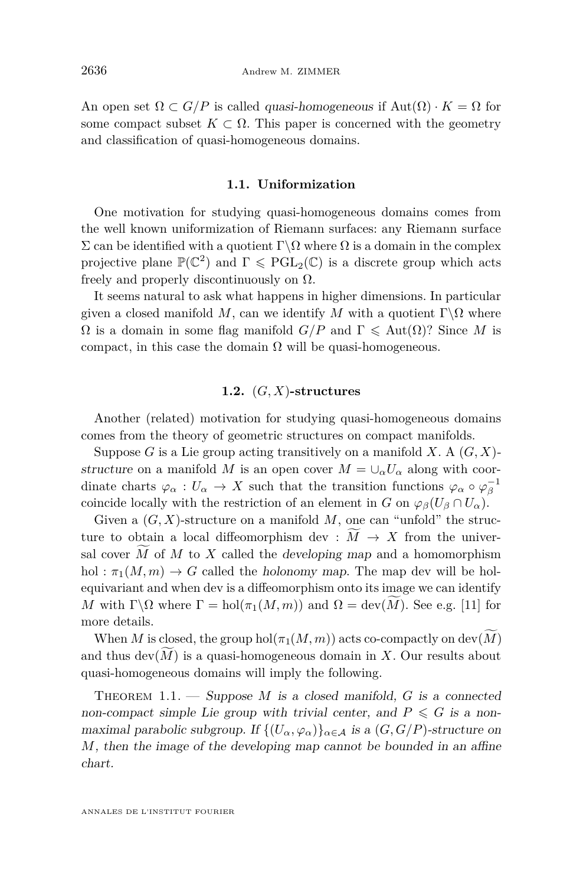An open set  $\Omega \subset G/P$  is called quasi-homogeneous if  $Aut(\Omega) \cdot K = \Omega$  for some compact subset  $K \subset \Omega$ . This paper is concerned with the geometry and classification of quasi-homogeneous domains.

#### **1.1. Uniformization**

One motivation for studying quasi-homogeneous domains comes from the well known uniformization of Riemann surfaces: any Riemann surface  $\Sigma$  can be identified with a quotient  $\Gamma\backslash\Omega$  where  $\Omega$  is a domain in the complex projective plane  $\mathbb{P}(\mathbb{C}^2)$  and  $\Gamma \leqslant \mathrm{PGL}_2(\mathbb{C})$  is a discrete group which acts freely and properly discontinuously on  $\Omega$ .

It seems natural to ask what happens in higher dimensions. In particular given a closed manifold M, can we identify M with a quotient  $\Gamma \backslash \Omega$  where  $\Omega$  is a domain in some flag manifold  $G/P$  and  $\Gamma \leq \text{Aut}(\Omega)$ ? Since M is compact, in this case the domain  $\Omega$  will be quasi-homogeneous.

#### **1.2.** (*G, X*)**-structures**

Another (related) motivation for studying quasi-homogeneous domains comes from the theory of geometric structures on compact manifolds.

Suppose *G* is a Lie group acting transitively on a manifold *X*. A  $(G, X)$ structure on a manifold *M* is an open cover  $M = \bigcup_{\alpha} U_{\alpha}$  along with coordinate charts  $\varphi_{\alpha}: U_{\alpha} \to X$  such that the transition functions  $\varphi_{\alpha} \circ \varphi_{\beta}^{-1}$ coincide locally with the restriction of an element in *G* on  $\varphi_{\beta}(U_{\beta} \cap U_{\alpha})$ .

Given a  $(G, X)$ -structure on a manifold M, one can "unfold" the structure to obtain a local diffeomorphism dev :  $\tilde{M} \rightarrow X$  from the universal cover  $\overline{M}$  of  $\overline{M}$  to  $\overline{X}$  called the *developing map* and a homomorphism hol:  $\pi_1(M,m) \to G$  called the holonomy map. The map dev will be holequivariant and when dev is a diffeomorphism onto its image we can identify *M* with  $\Gamma \backslash \Omega$  where  $\Gamma = \text{hol}(\pi_1(M,m))$  and  $\Omega = \text{dev}(M)$ . See e.g. [\[11\]](#page-27-0) for more details.

When *M* is closed, the group  $hol(\pi_1(M,m))$  acts co-compactly on dev(*M*) and thus  $dev(M)$  is a quasi-homogeneous domain in X. Our results about quasi-homogeneous domains will imply the following.

<span id="page-2-0"></span>Theorem 1.1. — Suppose *M* is a closed manifold, *G* is a connected non-compact simple Lie group with trivial center, and  $P \le G$  is a nonmaximal parabolic subgroup. If  $\{(U_\alpha, \varphi_\alpha)\}_{\alpha \in \mathcal{A}}$  is a  $(G, G/P)$ -structure on *M*, then the image of the developing map cannot be bounded in an affine chart.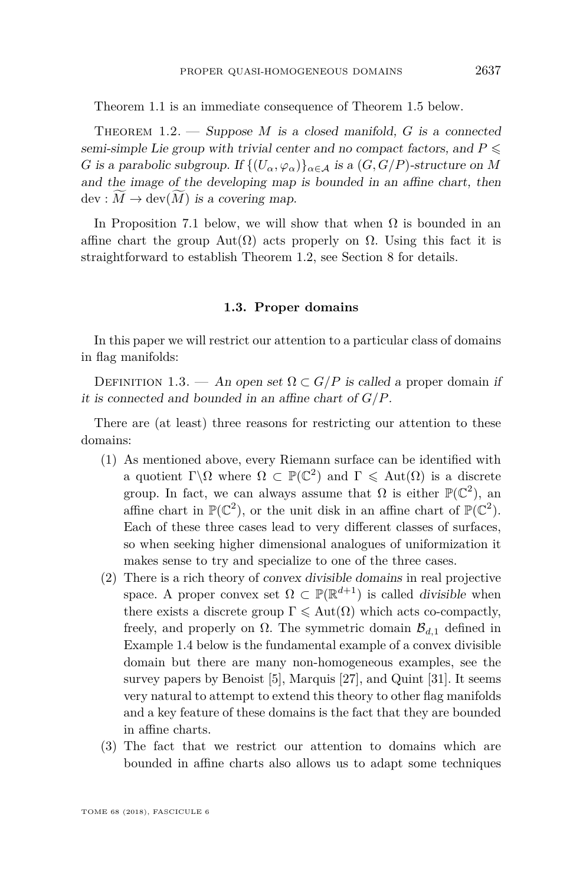Theorem [1.1](#page-2-0) is an immediate consequence of Theorem [1.5](#page-5-0) below.

<span id="page-3-0"></span>THEOREM  $1.2.$  — Suppose *M* is a closed manifold, *G* is a connected semi-simple Lie group with trivial center and no compact factors, and  $P \leq$ *G* is a parabolic subgroup. If  $\{(U_\alpha, \varphi_\alpha)\}_{\alpha \in \mathcal{A}}$  is a  $(G, G/P)$ -structure on M and the image of the developing map is bounded in an affine chart, then  $dev : M \to dev(M)$  is a covering map.

In Proposition [7.1](#page-23-0) below, we will show that when  $\Omega$  is bounded in an affine chart the group Aut( $\Omega$ ) acts properly on  $\Omega$ . Using this fact it is straightforward to establish Theorem [1.2,](#page-3-0) see Section [8](#page-23-1) for details.

#### **1.3. Proper domains**

In this paper we will restrict our attention to a particular class of domains in flag manifolds:

DEFINITION 1.3. — An open set  $\Omega \subset G/P$  is called a proper domain if it is connected and bounded in an affine chart of *G/P*.

There are (at least) three reasons for restricting our attention to these domains:

- (1) As mentioned above, every Riemann surface can be identified with a quotient  $\Gamma \backslash \Omega$  where  $\Omega \subset \mathbb{P}(\mathbb{C}^2)$  and  $\Gamma \leq \text{Aut}(\Omega)$  is a discrete group. In fact, we can always assume that  $\Omega$  is either  $\mathbb{P}(\mathbb{C}^2)$ , an affine chart in  $\mathbb{P}(\mathbb{C}^2)$ , or the unit disk in an affine chart of  $\mathbb{P}(\mathbb{C}^2)$ . Each of these three cases lead to very different classes of surfaces, so when seeking higher dimensional analogues of uniformization it makes sense to try and specialize to one of the three cases.
- (2) There is a rich theory of convex divisible domains in real projective space. A proper convex set  $\Omega \subset \mathbb{P}(\mathbb{R}^{d+1})$  is called *divisible* when there exists a discrete group  $\Gamma \leq \text{Aut}(\Omega)$  which acts co-compactly, freely, and properly on  $\Omega$ . The symmetric domain  $\mathcal{B}_{d,1}$  defined in Example [1.4](#page-4-0) below is the fundamental example of a convex divisible domain but there are many non-homogeneous examples, see the survey papers by Benoist [\[5\]](#page-27-1), Marquis [\[27\]](#page-28-0), and Quint [\[31\]](#page-28-1). It seems very natural to attempt to extend this theory to other flag manifolds and a key feature of these domains is the fact that they are bounded in affine charts.
- (3) The fact that we restrict our attention to domains which are bounded in affine charts also allows us to adapt some techniques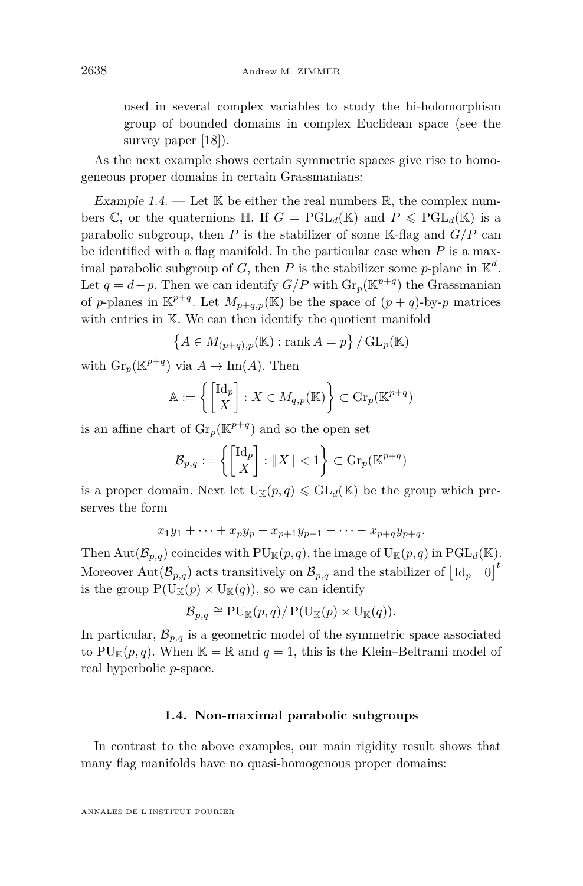used in several complex variables to study the bi-holomorphism group of bounded domains in complex Euclidean space (see the survey paper [\[18\]](#page-27-2)).

As the next example shows certain symmetric spaces give rise to homogeneous proper domains in certain Grassmanians:

<span id="page-4-0"></span>Example 1.4. — Let  $\mathbb K$  be either the real numbers  $\mathbb R$ , the complex numbers  $\mathbb{C}$ , or the quaternions  $\mathbb{H}$ . If  $G = \text{PGL}_d(\mathbb{K})$  and  $P \leq \text{PGL}_d(\mathbb{K})$  is a parabolic subgroup, then  $P$  is the stabilizer of some K-flag and  $G/P$  can be identified with a flag manifold. In the particular case when *P* is a maximal parabolic subgroup of *G*, then *P* is the stabilizer some *p*-plane in  $\mathbb{K}^d$ . Let  $q = d - p$ . Then we can identify  $G/P$  with  $\text{Gr}_p(\mathbb{K}^{p+q})$  the Grassmanian of *p*-planes in  $\mathbb{K}^{p+q}$ . Let  $M_{p+q,p}(\mathbb{K})$  be the space of  $(p+q)$ -by-*p* matrices with entries in K. We can then identify the quotient manifold

$$
\left\{A \in M_{(p+q),p}(\mathbb{K}) : \text{rank}\,A = p\right\} / \operatorname{GL}_p(\mathbb{K})
$$

with  $\mathrm{Gr}_p(\mathbb{K}^{p+q})$  via  $A \to \mathrm{Im}(A)$ . Then

$$
\mathbb{A} := \left\{ \begin{bmatrix} \mathrm{Id}_p \\ X \end{bmatrix} : X \in M_{q,p}(\mathbb{K}) \right\} \subset \mathrm{Gr}_p(\mathbb{K}^{p+q})
$$

is an affine chart of  $\mathrm{Gr}_p(\mathbb{K}^{p+q})$  and so the open set

$$
\mathcal{B}_{p,q} := \left\{ \begin{bmatrix} \mathrm{Id}_p \\ X \end{bmatrix} : \|X\| < 1 \right\} \subset \mathrm{Gr}_p(\mathbb{K}^{p+q})
$$

is a proper domain. Next let  $U_{\mathbb{K}}(p,q) \leq \mathrm{GL}_d(\mathbb{K})$  be the group which preserves the form

$$
\overline{x}_1y_1 + \cdots + \overline{x}_py_p - \overline{x}_{p+1}y_{p+1} - \cdots - \overline{x}_{p+q}y_{p+q}.
$$

Then Aut $(\mathcal{B}_{p,q})$  coincides with  $PU_{\mathbb{K}}(p,q)$ , the image of  $U_{\mathbb{K}}(p,q)$  in  $PGL_d(\mathbb{K})$ . Moreover Aut $(\mathcal{B}_{p,q})$  acts transitively on  $\mathcal{B}_{p,q}$  and the stabilizer of  $\begin{bmatrix} \mathrm{Id}_p & 0 \end{bmatrix}$  $0<sup>t</sup>$ is the group  $P(U_{K}(p) \times U_{K}(q))$ , so we can identify

$$
\mathcal{B}_{p,q} \cong \mathrm{PU}_{\mathbb{K}}(p,q)/\,\mathrm{P}(\mathrm{U}_{\mathbb{K}}(p)\times \mathrm{U}_{\mathbb{K}}(q)).
$$

In particular,  $\mathcal{B}_{p,q}$  is a geometric model of the symmetric space associated to  $PU_{K}(p,q)$ . When  $K = \mathbb{R}$  and  $q = 1$ , this is the Klein–Beltrami model of real hyperbolic *p*-space.

#### **1.4. Non-maximal parabolic subgroups**

In contrast to the above examples, our main rigidity result shows that many flag manifolds have no quasi-homogenous proper domains: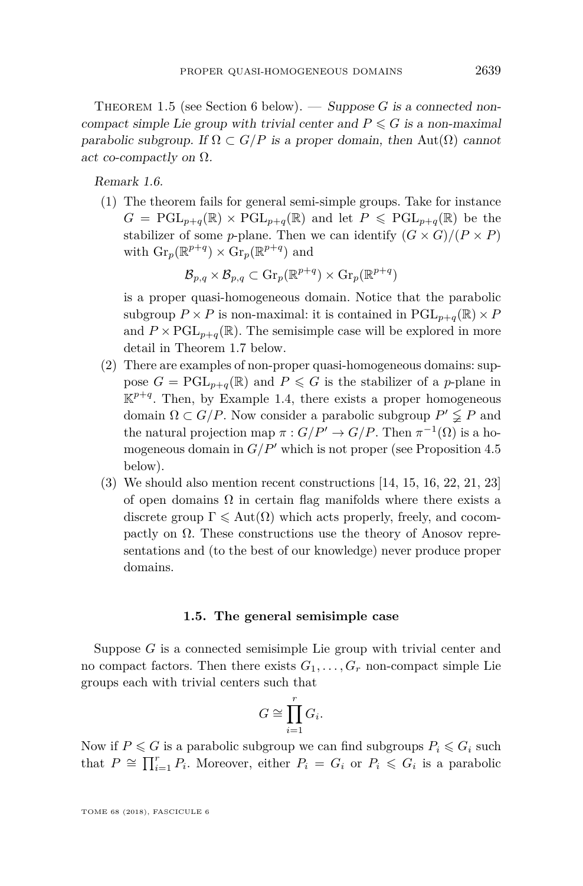<span id="page-5-0"></span>THEOREM 1.5 (see Section [6](#page-21-0) below). — Suppose *G* is a connected noncompact simple Lie group with trivial center and  $P \le G$  is a non-maximal parabolic subgroup. If  $\Omega \subset G/P$  is a proper domain, then Aut $(\Omega)$  cannot act co-compactly on  $\Omega$ .

Remark 1.6.

(1) The theorem fails for general semi-simple groups. Take for instance  $G = \text{PGL}_{p+q}(\mathbb{R}) \times \text{PGL}_{p+q}(\mathbb{R})$  and let  $P \leq \text{PGL}_{p+q}(\mathbb{R})$  be the stabilizer of some *p*-plane. Then we can identify  $(G \times G)/(P \times P)$ with  $\mathrm{Gr}_p(\mathbb{R}^{p+q}) \times \mathrm{Gr}_p(\mathbb{R}^{p+q})$  and

$$
{\mathcal{B}}_{p,q}\times {\mathcal{B}}_{p,q}\subset \textup{Gr}_p({\mathbb{R}}^{p+q})\times \textup{Gr}_p({\mathbb{R}}^{p+q})
$$

is a proper quasi-homogeneous domain. Notice that the parabolic subgroup  $P \times P$  is non-maximal: it is contained in  $PGL_{p+q}(\mathbb{R}) \times P$ and  $P \times \mathrm{PGL}_{p+q}(\mathbb{R})$ . The semisimple case will be explored in more detail in Theorem [1.7](#page-6-0) below.

- (2) There are examples of non-proper quasi-homogeneous domains: suppose  $G = \text{PGL}_{p+q}(\mathbb{R})$  and  $P \leq G$  is the stabilizer of a *p*-plane in  $\mathbb{K}^{p+q}$ . Then, by Example [1.4,](#page-4-0) there exists a proper homogeneous domain  $\Omega \subset G/P$ . Now consider a parabolic subgroup  $P' \subsetneq P$  and the natural projection map  $\pi: G/P' \to G/P$ . Then  $\pi^{-1}(\Omega)$  is a homogeneous domain in  $G/P'$  which is not proper (see Proposition [4.5](#page-13-0)) below).
- (3) We should also mention recent constructions [\[14,](#page-27-3) [15,](#page-27-4) [16,](#page-27-5) [22,](#page-27-6) [21,](#page-27-7) [23\]](#page-27-8) of open domains  $\Omega$  in certain flag manifolds where there exists a discrete group  $\Gamma \leq \text{Aut}(\Omega)$  which acts properly, freely, and cocompactly on  $\Omega$ . These constructions use the theory of Anosov representations and (to the best of our knowledge) never produce proper domains.

#### **1.5. The general semisimple case**

Suppose *G* is a connected semisimple Lie group with trivial center and no compact factors. Then there exists  $G_1, \ldots, G_r$  non-compact simple Lie groups each with trivial centers such that

$$
G \cong \prod_{i=1}^r G_i.
$$

Now if  $P \le G$  is a parabolic subgroup we can find subgroups  $P_i \le G_i$  such that  $P \cong \prod_{i=1}^r P_i$ . Moreover, either  $P_i = G_i$  or  $P_i \leq G_i$  is a parabolic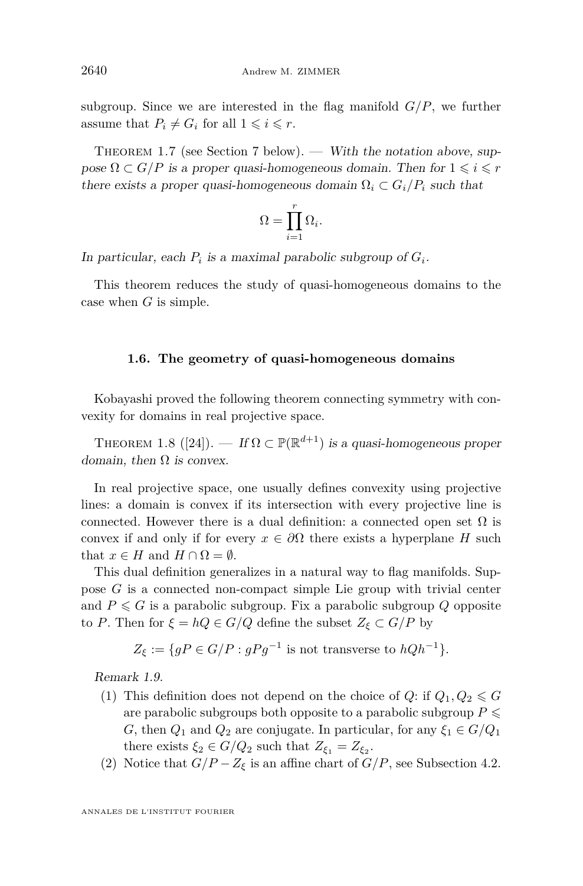subgroup. Since we are interested in the flag manifold  $G/P$ , we further assume that  $P_i \neq G_i$  for all  $1 \leq i \leq r$ .

<span id="page-6-0"></span>THEOREM 1.[7](#page-22-0) (see Section 7 below). — With the notation above, suppose  $\Omega \subset G/P$  is a proper quasi-homogeneous domain. Then for  $1 \leq i \leq r$ there exists a proper quasi-homogeneous domain  $\Omega_i \subset G_i/P_i$  such that

$$
\Omega = \prod_{i=1}^r \Omega_i.
$$

In particular, each  $P_i$  is a maximal parabolic subgroup of  $G_i$ .

This theorem reduces the study of quasi-homogeneous domains to the case when *G* is simple.

#### **1.6. The geometry of quasi-homogeneous domains**

Kobayashi proved the following theorem connecting symmetry with convexity for domains in real projective space.

<span id="page-6-1"></span>THEOREM 1.8 ([\[24\]](#page-27-9)). — If  $\Omega \subset \mathbb{P}(\mathbb{R}^{d+1})$  is a quasi-homogeneous proper domain, then  $\Omega$  is convex.

In real projective space, one usually defines convexity using projective lines: a domain is convex if its intersection with every projective line is connected. However there is a dual definition: a connected open set  $\Omega$  is convex if and only if for every  $x \in \partial\Omega$  there exists a hyperplane *H* such that  $x \in H$  and  $H \cap \Omega = \emptyset$ .

This dual definition generalizes in a natural way to flag manifolds. Suppose *G* is a connected non-compact simple Lie group with trivial center and  $P \le G$  is a parabolic subgroup. Fix a parabolic subgroup  $Q$  opposite to *P*. Then for  $\xi = hQ \in G/Q$  define the subset  $Z_{\xi} \subset G/P$  by

$$
Z_{\xi} := \{ gP \in G/P : gPg^{-1} \text{ is not transverse to } hQh^{-1} \}.
$$

Remark 1.9.

- (1) This definition does not depend on the choice of  $Q$ : if  $Q_1, Q_2 \leq G$ are parabolic subgroups both opposite to a parabolic subgroup  $P \leq$ *G*, then  $Q_1$  and  $Q_2$  are conjugate. In particular, for any  $\xi_1 \in G/Q_1$ there exists  $\xi_2 \in G/Q_2$  such that  $Z_{\xi_1} = Z_{\xi_2}$ .
- (2) Notice that  $G/P Z_{\xi}$  is an affine chart of  $G/P$ , see Subsection [4.2.](#page-15-0)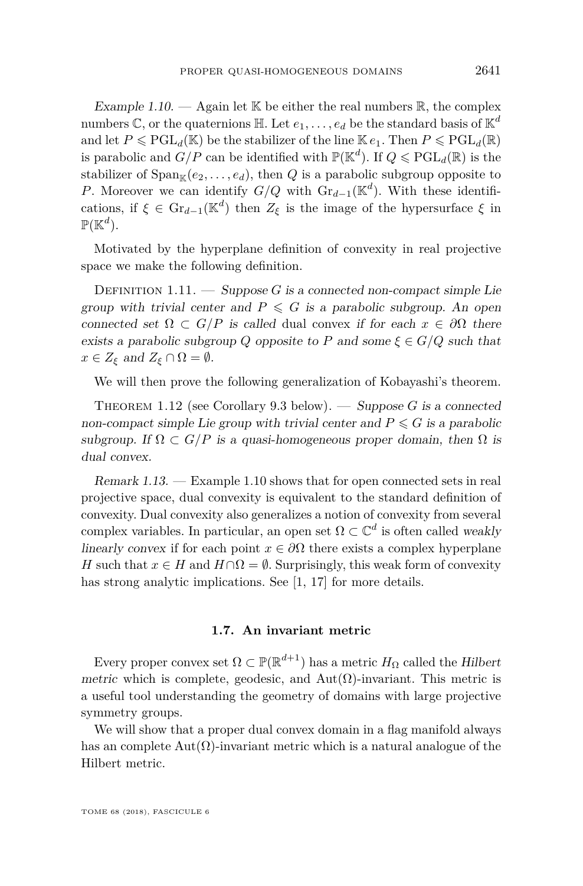<span id="page-7-0"></span>Example 1.10.  $\longrightarrow$  Again let K be either the real numbers R, the complex numbers  $\mathbb{C}$ , or the quaternions  $\mathbb{H}$ . Let  $e_1, \ldots, e_d$  be the standard basis of  $\mathbb{K}^d$ and let  $P \leq PGL_d(\mathbb{K})$  be the stabilizer of the line  $\mathbb{K} e_1$ . Then  $P \leq PGL_d(\mathbb{R})$ is parabolic and  $G/P$  can be identified with  $\mathbb{P}(\mathbb{K}^d)$ . If  $Q \leq \mathrm{PGL}_d(\mathbb{R})$  is the stabilizer of  $\text{Span}_{\mathbb{K}}(e_2, \ldots, e_d)$ , then *Q* is a parabolic subgroup opposite to *P*. Moreover we can identify  $G/Q$  with  $\text{Gr}_{d-1}(\mathbb{K}^d)$ . With these identifications, if  $\xi \in \mathrm{Gr}_{d-1}(\mathbb{K}^d)$  then  $Z_{\xi}$  is the image of the hypersurface  $\xi$  in  $\mathbb{P}(\mathbb{K}^d).$ 

Motivated by the hyperplane definition of convexity in real projective space we make the following definition.

<span id="page-7-1"></span>DEFINITION  $1.11.$  — Suppose *G* is a connected non-compact simple Lie group with trivial center and  $P \le G$  is a parabolic subgroup. An open connected set  $\Omega \subset G/P$  is called dual convex if for each  $x \in \partial \Omega$  there exists a parabolic subgroup *Q* opposite to *P* and some  $\xi \in G/Q$  such that  $x \in Z_{\xi}$  and  $Z_{\xi} \cap \Omega = \emptyset$ .

We will then prove the following generalization of Kobayashi's theorem.

<span id="page-7-2"></span>Theorem 1.12 (see Corollary [9.3](#page-26-0) below). — Suppose *G* is a connected non-compact simple Lie group with trivial center and  $P \le G$  is a parabolic subgroup. If  $\Omega \subset G/P$  is a quasi-homogeneous proper domain, then  $\Omega$  is dual convex.

Remark 1.13. — Example [1.10](#page-7-0) shows that for open connected sets in real projective space, dual convexity is equivalent to the standard definition of convexity. Dual convexity also generalizes a notion of convexity from several complex variables. In particular, an open set  $\Omega \subset \mathbb{C}^d$  is often called weakly linearly convex if for each point  $x \in \partial\Omega$  there exists a complex hyperplane *H* such that  $x \in H$  and  $H \cap \Omega = \emptyset$ . Surprisingly, this weak form of convexity has strong analytic implications. See [\[1,](#page-26-1) [17\]](#page-27-10) for more details.

#### **1.7. An invariant metric**

Every proper convex set  $\Omega \subset \mathbb{P}(\mathbb{R}^{d+1})$  has a metric  $H_{\Omega}$  called the Hilbert metric which is complete, geodesic, and  $Aut(\Omega)$ -invariant. This metric is a useful tool understanding the geometry of domains with large projective symmetry groups.

We will show that a proper dual convex domain in a flag manifold always has an complete  $Aut(\Omega)$ -invariant metric which is a natural analogue of the Hilbert metric.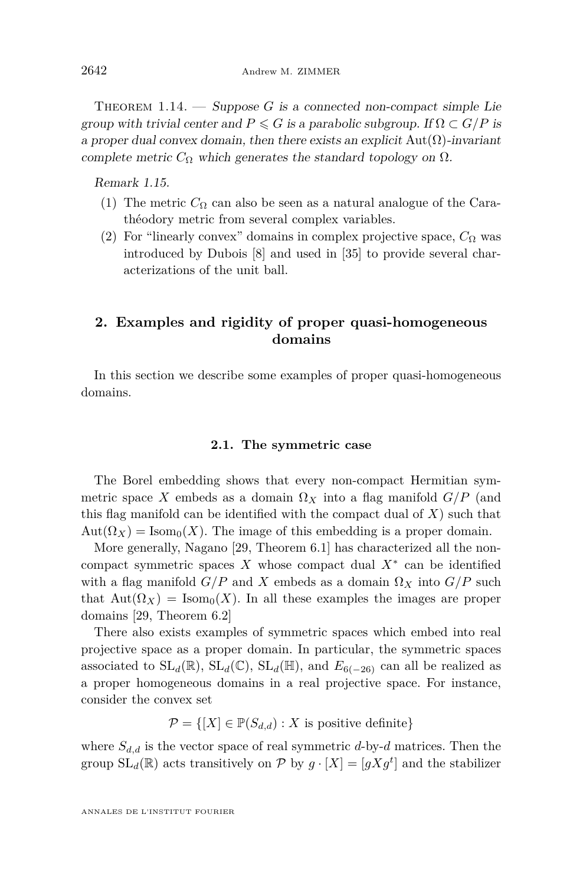THEOREM  $1.14.$  — Suppose *G* is a connected non-compact simple Lie group with trivial center and  $P \le G$  is a parabolic subgroup. If  $\Omega \subset G/P$  is a proper dual convex domain, then there exists an explicit  $\text{Aut}(\Omega)$ -invariant complete metric  $C_{\Omega}$  which generates the standard topology on  $\Omega$ .

Remark 1.15.

- (1) The metric  $C_{\Omega}$  can also be seen as a natural analogue of the Carathéodory metric from several complex variables.
- (2) For "linearly convex" domains in complex projective space,  $C_{\Omega}$  was introduced by Dubois [\[8\]](#page-27-11) and used in [\[35\]](#page-28-2) to provide several characterizations of the unit ball.

#### **2. Examples and rigidity of proper quasi-homogeneous domains**

In this section we describe some examples of proper quasi-homogeneous domains.

#### **2.1. The symmetric case**

<span id="page-8-0"></span>The Borel embedding shows that every non-compact Hermitian symmetric space *X* embeds as a domain  $\Omega_X$  into a flag manifold  $G/P$  (and this flag manifold can be identified with the compact dual of *X*) such that  $Aut(\Omega_X) = Isom_0(X)$ . The image of this embedding is a proper domain.

More generally, Nagano [\[29,](#page-28-3) Theorem 6.1] has characterized all the noncompact symmetric spaces *X* whose compact dual *X*<sup>∗</sup> can be identified with a flag manifold  $G/P$  and X embeds as a domain  $\Omega_X$  into  $G/P$  such that  $Aut(\Omega_X) = Isom_0(X)$ . In all these examples the images are proper domains [\[29,](#page-28-3) Theorem 6.2]

There also exists examples of symmetric spaces which embed into real projective space as a proper domain. In particular, the symmetric spaces associated to  $SL_d(\mathbb{R})$ ,  $SL_d(\mathbb{C})$ ,  $SL_d(\mathbb{H})$ , and  $E_{6(-26)}$  can all be realized as a proper homogeneous domains in a real projective space. For instance, consider the convex set

 $\mathcal{P} = \{[X] \in \mathbb{P}(S_{d,d}) : X \text{ is positive definite}\}\$ 

where  $S_{d,d}$  is the vector space of real symmetric  $d$ -by- $d$  matrices. Then the group  $SL_d(\mathbb{R})$  acts transitively on  $\mathcal{P}$  by  $g \cdot [X] = [gXg^t]$  and the stabilizer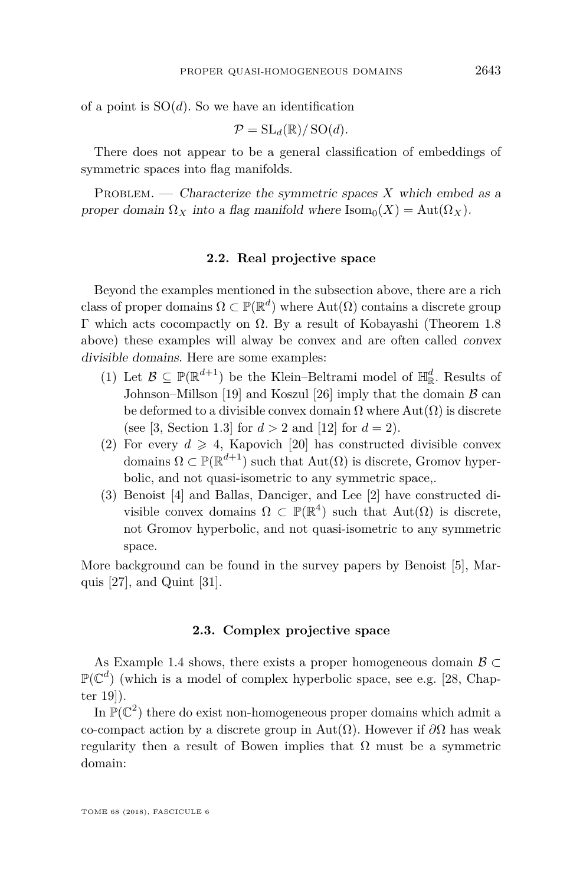of a point is  $SO(d)$ . So we have an identification

$$
\mathcal{P} = SL_d(\mathbb{R})/SO(d).
$$

There does not appear to be a general classification of embeddings of symmetric spaces into flag manifolds.

PROBLEM. — Characterize the symmetric spaces X which embed as a proper domain  $\Omega_X$  into a flag manifold where  $\text{Isom}_0(X) = \text{Aut}(\Omega_X)$ .

#### **2.2. Real projective space**

Beyond the examples mentioned in the subsection above, there are a rich class of proper domains  $\Omega \subset \mathbb{P}(\mathbb{R}^d)$  where  $\text{Aut}(\Omega)$  contains a discrete group Γ which acts cocompactly on  $Ω$ . By a result of Kobayashi (Theorem [1.8](#page-6-1) above) these examples will alway be convex and are often called convex divisible domains. Here are some examples:

- (1) Let  $\mathcal{B} \subseteq \mathbb{P}(\mathbb{R}^{d+1})$  be the Klein–Beltrami model of  $\mathbb{H}^d_{\mathbb{R}}$ . Results of Johnson–Millson [\[19\]](#page-27-12) and Koszul [\[26\]](#page-27-13) imply that the domain  $\beta$  can be deformed to a divisible convex domain  $\Omega$  where  $Aut(\Omega)$  is discrete (see [\[3,](#page-27-14) Section 1.3] for  $d > 2$  and [\[12\]](#page-27-15) for  $d = 2$ ).
- (2) For every  $d \geq 4$ , Kapovich [\[20\]](#page-27-16) has constructed divisible convex domains  $\Omega \subset \mathbb{P}(\mathbb{R}^{d+1})$  such that  $\text{Aut}(\Omega)$  is discrete, Gromov hyperbolic, and not quasi-isometric to any symmetric space,.
- (3) Benoist [\[4\]](#page-27-17) and Ballas, Danciger, and Lee [\[2\]](#page-26-2) have constructed divisible convex domains  $\Omega \subset \mathbb{P}(\mathbb{R}^4)$  such that  $\text{Aut}(\Omega)$  is discrete, not Gromov hyperbolic, and not quasi-isometric to any symmetric space.

More background can be found in the survey papers by Benoist [\[5\]](#page-27-1), Marquis [\[27\]](#page-28-0), and Quint [\[31\]](#page-28-1).

#### **2.3. Complex projective space**

As Example [1.4](#page-4-0) shows, there exists a proper homogeneous domain  $\mathcal{B} \subset$  $\mathbb{P}(\mathbb{C}^d)$  (which is a model of complex hyperbolic space, see e.g. [\[28,](#page-28-4) Chapter 19]).

In  $\mathbb{P}(\mathbb{C}^2)$  there do exist non-homogeneous proper domains which admit a co-compact action by a discrete group in Aut(Ω). However if *∂*Ω has weak regularity then a result of Bowen implies that  $\Omega$  must be a symmetric domain: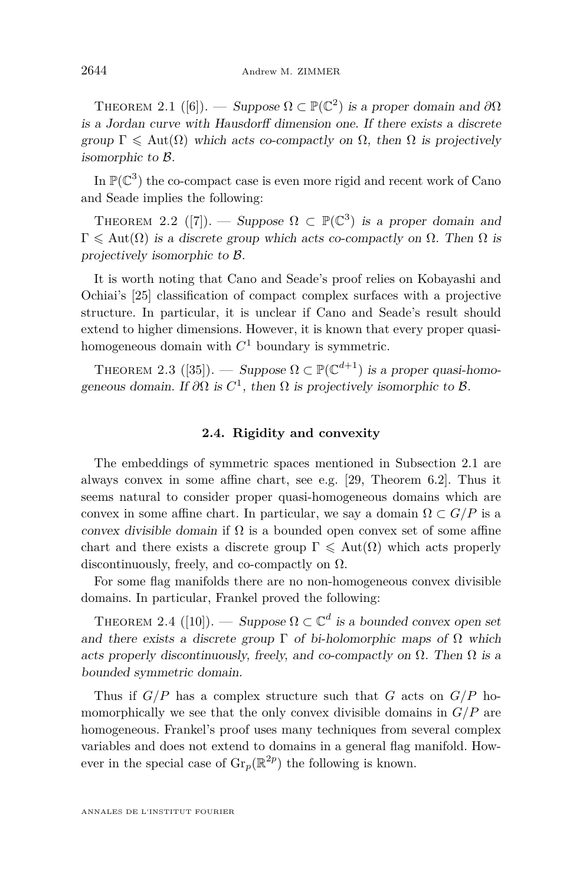THEOREM 2.1 ([\[6\]](#page-27-18)). — Suppose  $\Omega \subset \mathbb{P}(\mathbb{C}^2)$  is a proper domain and  $\partial\Omega$ is a Jordan curve with Hausdorff dimension one. If there exists a discrete group  $\Gamma \leq \text{Aut}(\Omega)$  which acts co-compactly on  $\Omega$ , then  $\Omega$  is projectively isomorphic to B.

In  $\mathbb{P}(\mathbb{C}^3)$  the co-compact case is even more rigid and recent work of Cano and Seade implies the following:

THEOREM 2.2 ([\[7\]](#page-27-19)). — Suppose  $\Omega \subset \mathbb{P}(\mathbb{C}^3)$  is a proper domain and  $\Gamma \leq \text{Aut}(\Omega)$  is a discrete group which acts co-compactly on  $\Omega$ . Then  $\Omega$  is projectively isomorphic to B.

It is worth noting that Cano and Seade's proof relies on Kobayashi and Ochiai's [\[25\]](#page-27-20) classification of compact complex surfaces with a projective structure. In particular, it is unclear if Cano and Seade's result should extend to higher dimensions. However, it is known that every proper quasihomogeneous domain with  $C<sup>1</sup>$  boundary is symmetric.

THEOREM 2.3 ([\[35\]](#page-28-2)). — Suppose  $\Omega \subset \mathbb{P}(\mathbb{C}^{d+1})$  is a proper quasi-homogeneous domain. If  $\partial\Omega$  is  $C^1$ , then  $\Omega$  is projectively isomorphic to  $\mathcal{B}$ .

#### **2.4. Rigidity and convexity**

The embeddings of symmetric spaces mentioned in Subsection [2.1](#page-8-0) are always convex in some affine chart, see e.g. [\[29,](#page-28-3) Theorem 6.2]. Thus it seems natural to consider proper quasi-homogeneous domains which are convex in some affine chart. In particular, we say a domain  $\Omega \subset G/P$  is a convex divisible domain if  $\Omega$  is a bounded open convex set of some affine chart and there exists a discrete group  $\Gamma \leq \text{Aut}(\Omega)$  which acts properly discontinuously, freely, and co-compactly on  $\Omega$ .

For some flag manifolds there are no non-homogeneous convex divisible domains. In particular, Frankel proved the following:

THEOREM 2.4 ([\[10\]](#page-27-21)). — Suppose  $\Omega \subset \mathbb{C}^d$  is a bounded convex open set and there exists a discrete group  $\Gamma$  of bi-holomorphic maps of  $\Omega$  which acts properly discontinuously, freely, and co-compactly on  $\Omega$ . Then  $\Omega$  is a bounded symmetric domain.

Thus if *G/P* has a complex structure such that *G* acts on *G/P* homomorphically we see that the only convex divisible domains in *G/P* are homogeneous. Frankel's proof uses many techniques from several complex variables and does not extend to domains in a general flag manifold. However in the special case of  $\mathrm{Gr}_p(\mathbb{R}^{2p})$  the following is known.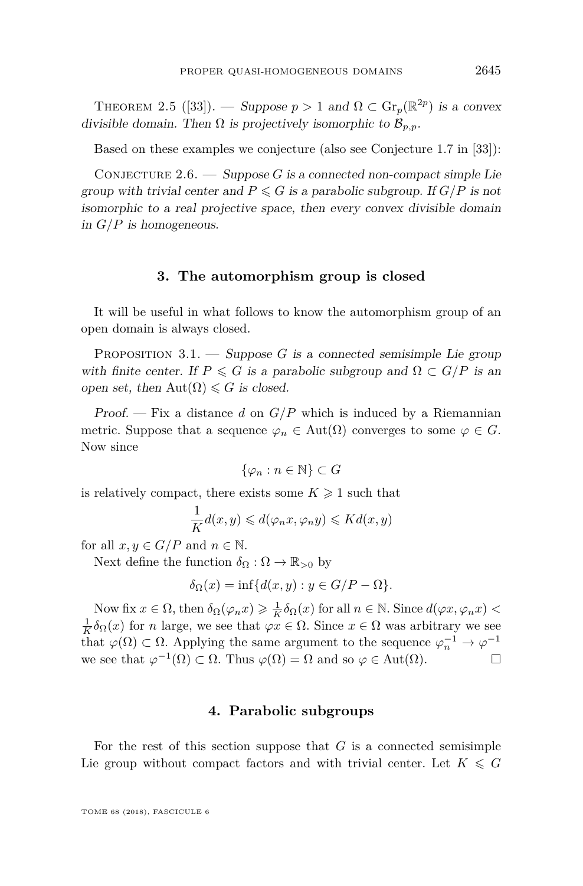THEOREM 2.5 ([\[33\]](#page-28-5)). — Suppose  $p > 1$  and  $\Omega \subset \mathrm{Gr}_p(\mathbb{R}^{2p})$  is a convex divisible domain. Then  $\Omega$  is projectively isomorphic to  $\mathcal{B}_{n,p}$ .

Based on these examples we conjecture (also see Conjecture 1.7 in [\[33\]](#page-28-5)):

CONJECTURE  $2.6.$  — Suppose *G* is a connected non-compact simple Lie group with trivial center and  $P \le G$  is a parabolic subgroup. If  $G/P$  is not isomorphic to a real projective space, then every convex divisible domain in *G/P* is homogeneous.

#### **3. The automorphism group is closed**

It will be useful in what follows to know the automorphism group of an open domain is always closed.

<span id="page-11-0"></span>PROPOSITION  $3.1.$  — Suppose *G* is a connected semisimple Lie group with finite center. If  $P \le G$  is a parabolic subgroup and  $\Omega \subset G/P$  is an open set, then  $Aut(\Omega) \leq G$  is closed.

Proof. — Fix a distance *d* on  $G/P$  which is induced by a Riemannian metric. Suppose that a sequence  $\varphi_n \in \text{Aut}(\Omega)$  converges to some  $\varphi \in G$ . Now since

$$
\{\varphi_n : n \in \mathbb{N}\} \subset G
$$

is relatively compact, there exists some  $K \geq 1$  such that

$$
\frac{1}{K}d(x,y) \leq d(\varphi_n x, \varphi_n y) \leq Kd(x,y)
$$

for all  $x, y \in G/P$  and  $n \in \mathbb{N}$ .

Next define the function  $\delta_{\Omega} : \Omega \to \mathbb{R}_{>0}$  by

$$
\delta_{\Omega}(x) = \inf \{ d(x, y) : y \in G/P - \Omega \}.
$$

Now fix  $x \in \Omega$ , then  $\delta_{\Omega}(\varphi_n x) \geq \frac{1}{K} \delta_{\Omega}(x)$  for all  $n \in \mathbb{N}$ . Since  $d(\varphi x, \varphi_n x)$  $\frac{1}{K}\delta_{\Omega}(x)$  for *n* large, we see that  $\varphi x \in \Omega$ . Since  $x \in \Omega$  was arbitrary we see that  $\varphi(\Omega) \subset \Omega$ . Applying the same argument to the sequence  $\varphi_n^{-1} \to \varphi^{-1}$ we see that  $\varphi^{-1}(\Omega) \subset \Omega$ . Thus  $\varphi(\Omega) = \Omega$  and so  $\varphi \in \text{Aut}(\Omega)$ .

#### **4. Parabolic subgroups**

For the rest of this section suppose that *G* is a connected semisimple Lie group without compact factors and with trivial center. Let  $K \leq G$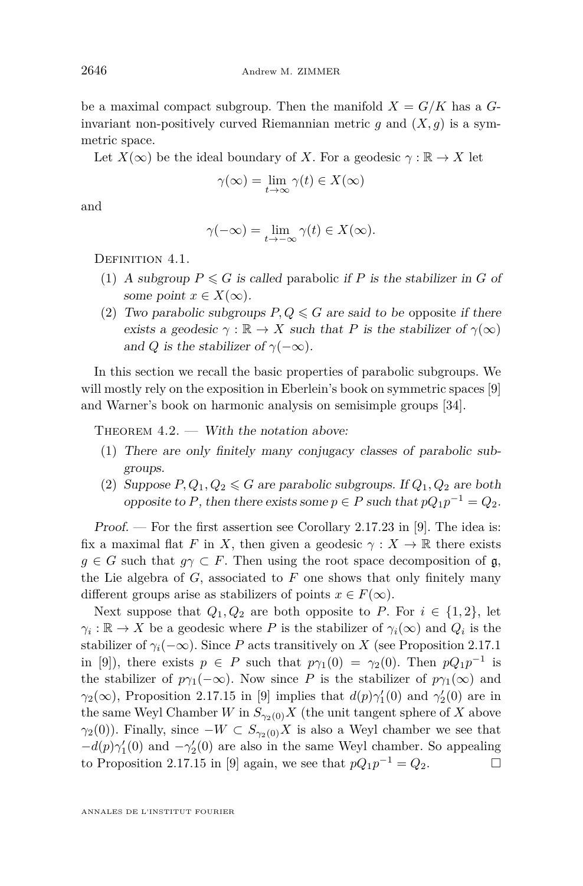be a maximal compact subgroup. Then the manifold  $X = G/K$  has a  $G$ invariant non-positively curved Riemannian metric  $g$  and  $(X, g)$  is a symmetric space.

Let  $X(\infty)$  be the ideal boundary of *X*. For a geodesic  $\gamma : \mathbb{R} \to X$  let

$$
\gamma(\infty)=\lim_{t\to\infty}\gamma(t)\in X(\infty)
$$

and

$$
\gamma(-\infty) = \lim_{t \to -\infty} \gamma(t) \in X(\infty).
$$

DEFINITION 4.1.

- (1) A subgroup  $P \le G$  is called parabolic if P is the stabilizer in G of some point  $x \in X(\infty)$ .
- (2) Two parabolic subgroups  $P, Q \leq G$  are said to be opposite if there exists a geodesic  $\gamma : \mathbb{R} \to X$  such that *P* is the stabilizer of  $\gamma(\infty)$ and *Q* is the stabilizer of  $\gamma(-\infty)$ .

In this section we recall the basic properties of parabolic subgroups. We will mostly rely on the exposition in Eberlein's book on symmetric spaces [\[9\]](#page-27-22) and Warner's book on harmonic analysis on semisimple groups [\[34\]](#page-28-6).

<span id="page-12-0"></span>THEOREM  $4.2.$  — With the notation above:

- (1) There are only finitely many conjugacy classes of parabolic subgroups.
- (2) Suppose  $P, Q_1, Q_2 \leq G$  are parabolic subgroups. If  $Q_1, Q_2$  are both opposite to *P*, then there exists some  $p ∈ P$  such that  $pQ_1p^{-1} = Q_2$ .

Proof. — For the first assertion see Corollary 2.17.23 in [\[9\]](#page-27-22). The idea is: fix a maximal flat *F* in *X*, then given a geodesic  $\gamma : X \to \mathbb{R}$  there exists  $g \in G$  such that  $g \gamma \subset F$ . Then using the root space decomposition of g, the Lie algebra of *G*, associated to *F* one shows that only finitely many different groups arise as stabilizers of points  $x \in F(\infty)$ .

Next suppose that  $Q_1, Q_2$  are both opposite to *P*. For  $i \in \{1, 2\}$ , let  $\gamma_i: \mathbb{R} \to X$  be a geodesic where *P* is the stabilizer of  $\gamma_i(\infty)$  and  $Q_i$  is the stabilizer of  $\gamma_i(-\infty)$ . Since *P* acts transitively on *X* (see Proposition 2.17.1) in [\[9\]](#page-27-22)), there exists  $p \in P$  such that  $p\gamma_1(0) = \gamma_2(0)$ . Then  $pQ_1p^{-1}$  is the stabilizer of  $p\gamma_1(-\infty)$ . Now since P is the stabilizer of  $p\gamma_1(\infty)$  and *γ*<sub>2</sub>(∞), Proposition 2.17.15 in [\[9\]](#page-27-22) implies that  $d(p)$ <sup>*γ*</sup><sub>1</sub>(0) and *γ*<sup>2</sup><sub>2</sub>(0) are in the same Weyl Chamber *W* in  $S_{\gamma_2(0)}X$  (the unit tangent sphere of *X* above *γ*<sub>2</sub>(0)). Finally, since  $-W \subset S_{\gamma_2(0)}X$  is also a Weyl chamber we see that  $-d(p)\gamma_1'(0)$  and  $-\gamma_2'(0)$  are also in the same Weyl chamber. So appealing to Proposition 2.17.15 in [\[9\]](#page-27-22) again, we see that  $pQ_1p^{-1} = Q_2$ .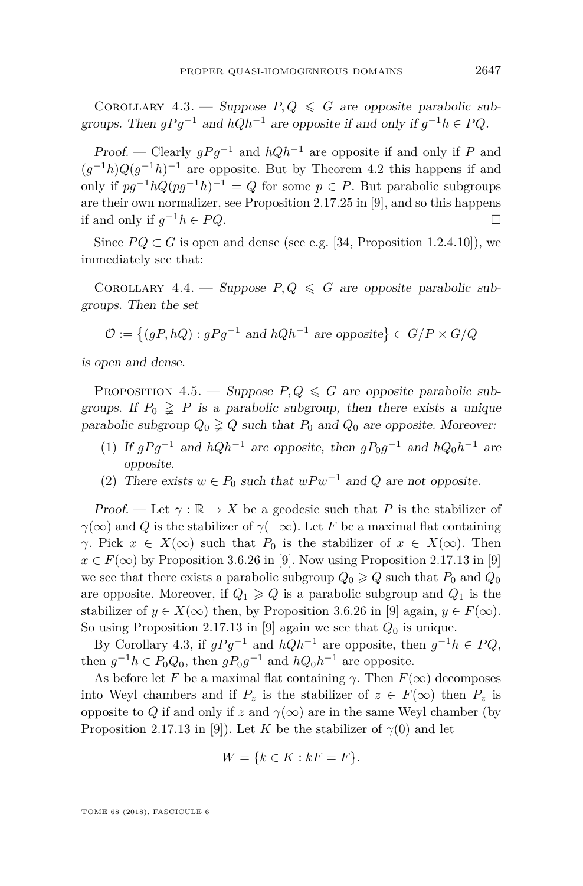<span id="page-13-1"></span>COROLLARY 4.3. — Suppose  $P,Q \leq G$  are opposite parabolic subgroups. Then  $gPg^{-1}$  and  $hQh^{-1}$  are opposite if and only if  $g^{-1}h \in PQ$ .

Proof. — Clearly  $qPq^{-1}$  and  $hQh^{-1}$  are opposite if and only if P and  $(g^{-1}h)Q(g^{-1}h)^{-1}$  are opposite. But by Theorem [4.2](#page-12-0) this happens if and only if  $pg^{-1}hQ(pg^{-1}h)^{-1} = Q$  for some  $p ∈ P$ . But parabolic subgroups are their own normalizer, see Proposition 2.17.25 in [\[9\]](#page-27-22), and so this happens if and only if  $g^{-1}h \in PQ$ . □

Since  $PQ \subset G$  is open and dense (see e.g. [\[34,](#page-28-6) Proposition 1.2.4.10]), we immediately see that:

<span id="page-13-2"></span>COROLLARY 4.4. — Suppose  $P, Q \leq G$  are opposite parabolic subgroups. Then the set

$$
\mathcal{O} := \{(gP, hQ) : gPg^{-1} \text{ and } hQh^{-1} \text{ are opposite}\} \subset G/P \times G/Q
$$

is open and dense.

<span id="page-13-0"></span>PROPOSITION 4.5. — Suppose  $P, Q \leq G$  are opposite parabolic subgroups. If  $P_0 \geq P$  is a parabolic subgroup, then there exists a unique parabolic subgroup  $Q_0 \geq Q$  such that  $P_0$  and  $Q_0$  are opposite. Moreover:

- (1) If  $gPg^{-1}$  and  $hQh^{-1}$  are opposite, then  $gP_0g^{-1}$  and  $hQ_0h^{-1}$  are opposite.
- <span id="page-13-3"></span>(2) There exists  $w \in P_0$  such that  $w P w^{-1}$  and  $Q$  are not opposite.

Proof. — Let  $\gamma : \mathbb{R} \to X$  be a geodesic such that P is the stabilizer of *γ*(∞) and *Q* is the stabilizer of *γ*(−∞). Let *F* be a maximal flat containing *γ*. Pick  $x \in X(\infty)$  such that  $P_0$  is the stabilizer of  $x \in X(\infty)$ . Then  $x \in F(\infty)$  by Proposition 3.6.26 in [\[9\]](#page-27-22). Now using Proposition 2.17.13 in [9] we see that there exists a parabolic subgroup  $Q_0 \geq Q$  such that  $P_0$  and  $Q_0$ are opposite. Moreover, if  $Q_1 \geq Q$  is a parabolic subgroup and  $Q_1$  is the stabilizer of  $y \in X(\infty)$  then, by Proposition 3.6.26 in [\[9\]](#page-27-22) again,  $y \in F(\infty)$ . So using Proposition 2.17.13 in [\[9\]](#page-27-22) again we see that  $Q_0$  is unique.

By Corollary [4.3,](#page-13-1) if  $gPg^{-1}$  and  $hQh^{-1}$  are opposite, then  $g^{-1}h \in PQ$ , then  $g^{-1}h \in P_0Q_0$ , then  $gP_0g^{-1}$  and  $hQ_0h^{-1}$  are opposite.

As before let *F* be a maximal flat containing  $\gamma$ . Then  $F(\infty)$  decomposes into Weyl chambers and if  $P_z$  is the stabilizer of  $z \in F(\infty)$  then  $P_z$  is opposite to *Q* if and only if *z* and  $\gamma(\infty)$  are in the same Weyl chamber (by Proposition 2.17.13 in [\[9\]](#page-27-22)). Let *K* be the stabilizer of  $\gamma(0)$  and let

$$
W = \{k \in K : kF = F\}.
$$

TOME 68 (2018), FASCICULE 6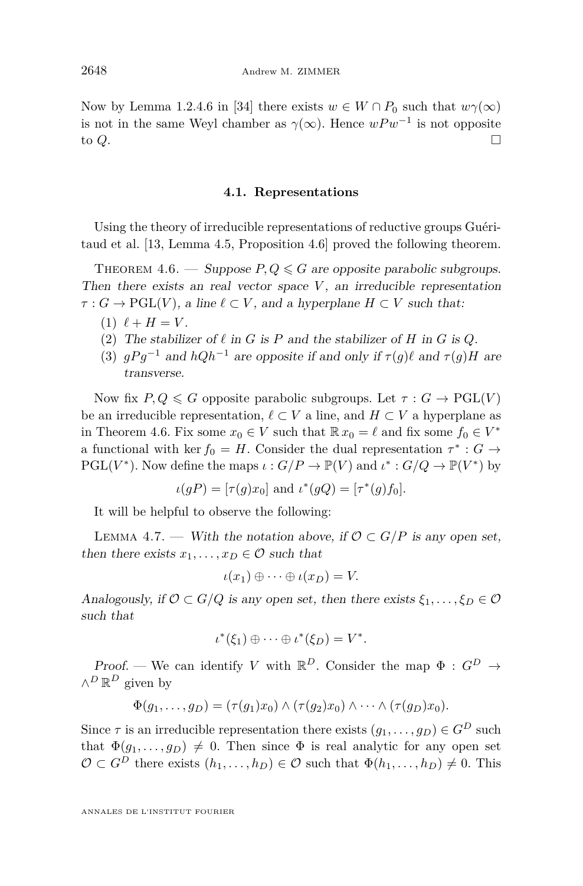Now by Lemma 1.2.4.6 in [\[34\]](#page-28-6) there exists  $w \in W \cap P_0$  such that  $w\gamma(\infty)$ is not in the same Weyl chamber as  $\gamma(\infty)$ . Hence  $w P w^{-1}$  is not opposite to  $Q$ .

#### **4.1. Representations**

Using the theory of irreducible representations of reductive groups Guéritaud et al. [\[13,](#page-27-23) Lemma 4.5, Proposition 4.6] proved the following theorem.

<span id="page-14-0"></span>THEOREM 4.6. — Suppose  $P, Q \leq G$  are opposite parabolic subgroups. Then there exists an real vector space  $V$ , an irreducible representation  $\tau : G \to \mathrm{PGL}(V)$ , a line  $\ell \subset V$ , and a hyperplane  $H \subset V$  such that:

- $(1)$   $\ell + H = V$ .
- (2) The stabilizer of  $\ell$  in  $G$  is  $P$  and the stabilizer of  $H$  in  $G$  is  $Q$ .
- (3)  $qPq^{-1}$  and  $hQh^{-1}$  are opposite if and only if  $\tau(q)\ell$  and  $\tau(q)H$  are transverse.

Now fix  $P, Q \leq G$  opposite parabolic subgroups. Let  $\tau : G \to \mathrm{PGL}(V)$ be an irreducible representation,  $\ell \subset V$  a line, and  $H \subset V$  a hyperplane as in Theorem [4.6.](#page-14-0) Fix some  $x_0 \in V$  such that  $\mathbb{R} x_0 = \ell$  and fix some  $f_0 \in V^*$ a functional with ker  $f_0 = H$ . Consider the dual representation  $\tau^* : G \rightarrow$  $PGL(V^*)$ . Now define the maps  $\iota: G/P \to \mathbb{P}(V)$  and  $\iota^*: G/Q \to \mathbb{P}(V^*)$  by

 $\iota(gP) = [\tau(g)x_0]$  and  $\iota^*(gQ) = [\tau^*(g)f_0]$ *.* 

It will be helpful to observe the following:

<span id="page-14-1"></span>LEMMA 4.7. — With the notation above, if  $\mathcal{O} \subset G/P$  is any open set, then there exists  $x_1, \ldots, x_D \in \mathcal{O}$  such that

$$
\iota(x_1)\oplus\cdots\oplus\iota(x_D)=V.
$$

Analogously, if  $\mathcal{O} \subset G/Q$  is any open set, then there exists  $\xi_1, \ldots, \xi_D \in \mathcal{O}$ such that

$$
\iota^*(\xi_1) \oplus \cdots \oplus \iota^*(\xi_D) = V^*.
$$

Proof. — We can identify *V* with  $\mathbb{R}^D$ . Consider the map  $\Phi: G^D \to$ ∧ *<sup>D</sup>* R *<sup>D</sup>* given by

$$
\Phi(g_1,\ldots,g_D)=(\tau(g_1)x_0)\wedge(\tau(g_2)x_0)\wedge\cdots\wedge(\tau(g_D)x_0).
$$

Since  $\tau$  is an irreducible representation there exists  $(g_1, \ldots, g_D) \in G^D$  such that  $\Phi(q_1, \ldots, q_D) \neq 0$ . Then since  $\Phi$  is real analytic for any open set  $\mathcal{O} \subset G^D$  there exists  $(h_1, \ldots, h_D) \in \mathcal{O}$  such that  $\Phi(h_1, \ldots, h_D) \neq 0$ . This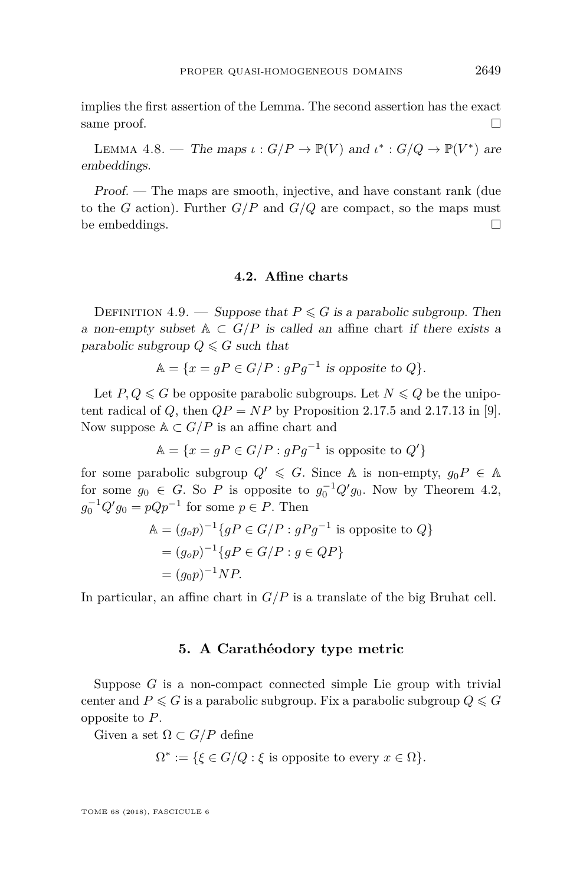implies the first assertion of the Lemma. The second assertion has the exact same proof.

<span id="page-15-1"></span>LEMMA 4.8. — The maps  $\iota: G/P \to \mathbb{P}(V)$  and  $\iota^*: G/Q \to \mathbb{P}(V^*)$  are embeddings.

Proof. — The maps are smooth, injective, and have constant rank (due to the *G* action). Further  $G/P$  and  $G/Q$  are compact, so the maps must be embeddings.  $\Box$ 

#### **4.2. Affine charts**

<span id="page-15-0"></span>DEFINITION 4.9. — Suppose that  $P \le G$  is a parabolic subgroup. Then a non-empty subset  $A \subset G/P$  is called an affine chart if there exists a parabolic subgroup  $Q \leq G$  such that

$$
\mathbb{A} = \{ x = gP \in G/P : gPg^{-1} \text{ is opposite to } Q \}.
$$

Let  $P, Q \leq G$  be opposite parabolic subgroups. Let  $N \leq Q$  be the unipotent radical of Q, then  $QP = NP$  by Proposition 2.17.5 and 2.17.13 in [\[9\]](#page-27-22). Now suppose  $\mathbb{A} \subset G/P$  is an affine chart and

$$
\mathbb{A} = \{ x = gP \in G/P : gPg^{-1} \text{ is opposite to } Q' \}
$$

for some parabolic subgroup  $Q' \leq G$ . Since A is non-empty,  $g_0 P \in A$ for some  $g_0 \in G$ . So P is opposite to  $g_0^{-1}Q'g_0$ . Now by Theorem [4.2,](#page-12-0)  $g_0^{-1}Q'g_0 = pQp^{-1}$  for some  $p \in P$ . Then

$$
\mathbb{A} = (g_o p)^{-1} \{ gP \in G/P : gPg^{-1} \text{ is opposite to } Q \}
$$

$$
= (g_o p)^{-1} \{ gP \in G/P : g \in QP \}
$$

$$
= (g_o p)^{-1} NP.
$$

In particular, an affine chart in  $G/P$  is a translate of the big Bruhat cell.

#### **5. A Carathéodory type metric**

<span id="page-15-2"></span>Suppose *G* is a non-compact connected simple Lie group with trivial center and  $P \le G$  is a parabolic subgroup. Fix a parabolic subgroup  $Q \le G$ opposite to *P*.

Given a set  $\Omega \subset G/P$  define

$$
\Omega^* := \{ \xi \in G/Q : \xi \text{ is opposite to every } x \in \Omega \}.
$$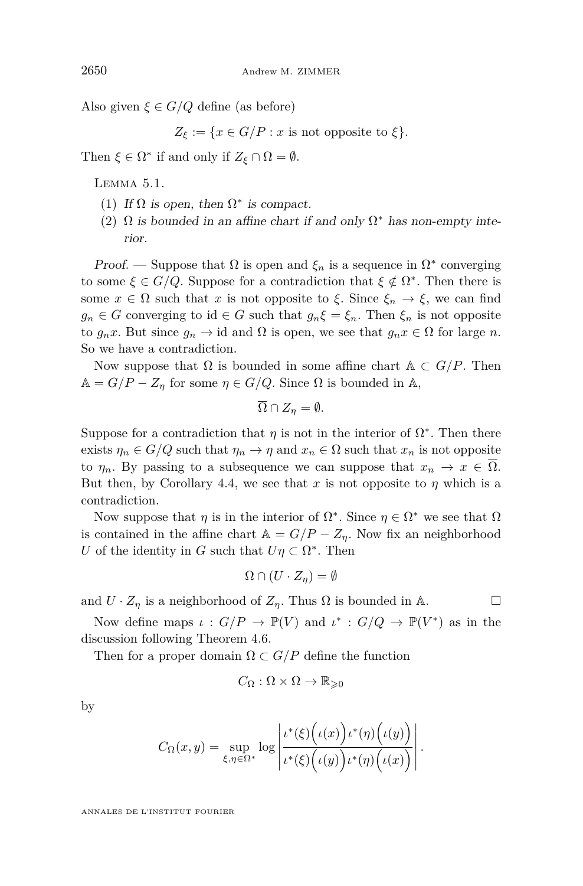Also given  $\xi \in G/Q$  define (as before)

 $Z_{\xi}$  := { $x \in G/P$  : *x* is not opposite to  $\xi$ }.

Then  $\xi \in \Omega^*$  if and only if  $Z_{\xi} \cap \Omega = \emptyset$ .

<span id="page-16-0"></span>LEMMA 5.1.

- (1) If  $\Omega$  is open, then  $\Omega^*$  is compact.
- (2)  $\Omega$  is bounded in an affine chart if and only  $\Omega^*$  has non-empty interior.

Proof. — Suppose that  $\Omega$  is open and  $\xi_n$  is a sequence in  $\Omega^*$  converging to some  $\xi \in G/Q$ . Suppose for a contradiction that  $\xi \notin \Omega^*$ . Then there is some  $x \in \Omega$  such that *x* is not opposite to *ξ*. Since  $\xi_n \to \xi$ , we can find  $g_n \in G$  converging to id  $\in G$  such that  $g_n \xi = \xi_n$ . Then  $\xi_n$  is not opposite to  $g_n x$ . But since  $g_n \to id$  and  $\Omega$  is open, we see that  $g_n x \in \Omega$  for large *n*. So we have a contradiction.

Now suppose that  $\Omega$  is bounded in some affine chart  $\mathbb{A} \subset G/P$ . Then  $A = G/P - Z_\eta$  for some  $\eta \in G/Q$ . Since  $\Omega$  is bounded in A,

$$
\overline{\Omega} \cap Z_{\eta} = \emptyset.
$$

Suppose for a contradiction that  $\eta$  is not in the interior of  $\Omega^*$ . Then there exists  $\eta_n \in G/Q$  such that  $\eta_n \to \eta$  and  $x_n \in \Omega$  such that  $x_n$  is not opposite to  $\eta_n$ . By passing to a subsequence we can suppose that  $x_n \to x \in \Omega$ . But then, by Corollary [4.4,](#page-13-2) we see that  $x$  is not opposite to  $\eta$  which is a contradiction.

Now suppose that  $\eta$  is in the interior of  $\Omega^*$ . Since  $\eta \in \Omega^*$  we see that  $\Omega$ is contained in the affine chart  $A = G/P - Z_n$ . Now fix an neighborhood *U* of the identity in *G* such that  $U\eta \subset \Omega^*$ . Then

$$
\Omega \cap (U \cdot Z_{\eta}) = \emptyset
$$

and  $U \cdot Z_n$  is a neighborhood of  $Z_n$ . Thus  $\Omega$  is bounded in A.

Now define maps  $\iota : G/P \to \mathbb{P}(V)$  and  $\iota^* : G/Q \to \mathbb{P}(V^*)$  as in the discussion following Theorem [4.6.](#page-14-0)

Then for a proper domain  $\Omega \subset G/P$  define the function

$$
C_{\Omega}: \Omega \times \Omega \to \mathbb{R}_{\geqslant 0}
$$

by

$$
C_{\Omega}(x,y) = \sup_{\xi,\eta \in \Omega^*} \log \left| \frac{\iota^*(\xi) \big(\iota(x)\big) \iota^*(\eta) \big(\iota(y)\big)}{\iota^*(\xi) \big(\iota(y)\big) \iota^*(\eta) \big(\iota(x)\big)} \right|.
$$

ANNALES DE L'INSTITUT FOURIER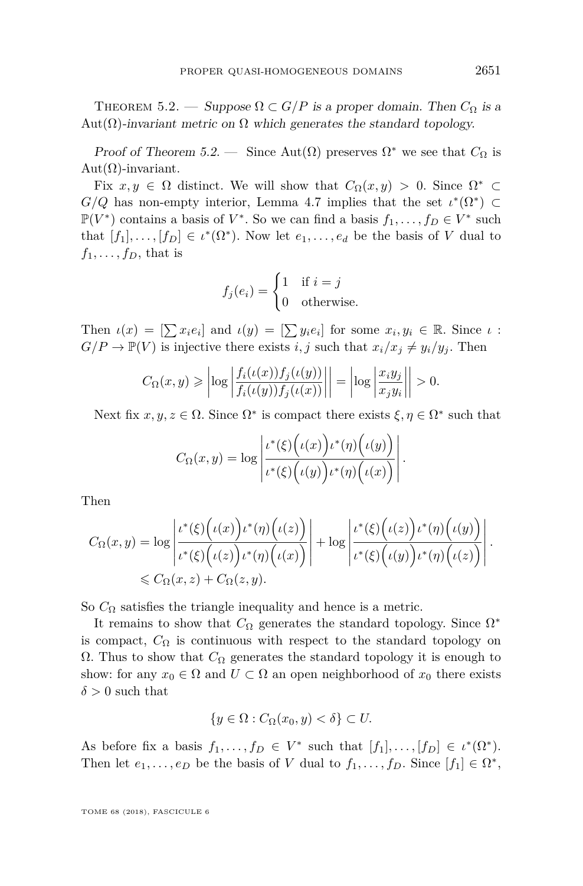<span id="page-17-0"></span>THEOREM 5.2. — Suppose  $\Omega \subset G/P$  is a proper domain. Then  $C_{\Omega}$  is a Aut( $\Omega$ )-invariant metric on  $\Omega$  which generates the standard topology.

Proof of Theorem [5.2.](#page-17-0) — Since Aut( $\Omega$ ) preserves  $\Omega^*$  we see that  $C_{\Omega}$  is  $Aut(\Omega)$ -invariant.

Fix  $x, y \in \Omega$  distinct. We will show that  $C_{\Omega}(x, y) > 0$ . Since  $\Omega^* \subset$  $G/Q$  has non-empty interior, Lemma [4.7](#page-14-1) implies that the set  $\iota^*(\Omega^*) \subset$  $\mathbb{P}(V^*)$  contains a basis of  $V^*$ . So we can find a basis  $f_1, \ldots, f_D \in V^*$  such that  $[f_1], \ldots, [f_D] \in \iota^*(\Omega^*)$ . Now let  $e_1, \ldots, e_d$  be the basis of *V* dual to  $f_1, \ldots, f_D$ , that is

$$
f_j(e_i) = \begin{cases} 1 & \text{if } i = j \\ 0 & \text{otherwise.} \end{cases}
$$

Then  $\iota(x) = [\sum x_i e_i]$  and  $\iota(y) = [\sum y_i e_i]$  for some  $x_i, y_i \in \mathbb{R}$ . Since  $\iota$ :  $G/P \to \mathbb{P}(V)$  is injective there exists *i, j* such that  $x_i/x_j \neq y_i/y_j$ . Then

$$
C_{\Omega}(x,y) \geq \left| \log \left| \frac{f_i(\iota(x)) f_j(\iota(y))}{f_i(\iota(y)) f_j(\iota(x))} \right| \right| = \left| \log \left| \frac{x_i y_j}{x_j y_i} \right| \right| > 0.
$$

Next fix  $x, y, z \in \Omega$ . Since  $\Omega^*$  is compact there exists  $\xi, \eta \in \Omega^*$  such that

$$
C_{\Omega}(x,y) = \log \left| \frac{\iota^*(\xi) \big( \iota(x) \big) \iota^*(\eta) \big( \iota(y) \big)}{\iota^*(\xi) \big( \iota(y) \big) \iota^*(\eta) \big( \iota(x) \big)} \right|
$$

*.*

Then

$$
C_{\Omega}(x,y) = \log \left| \frac{\iota^*(\xi) \big( \iota(x) \big) \iota^*(\eta) \big( \iota(z) \big)}{\iota^*(\xi) \big( \iota(z) \big) \iota^*(\eta) \big( \iota(x) \big)} \right| + \log \left| \frac{\iota^*(\xi) \big( \iota(z) \big) \iota^*(\eta) \big( \iota(y) \big)}{\iota^*(\xi) \big( \iota(y) \big) \iota^*(\eta) \big( \iota(z) \big)} \right|.
$$
  
\$\leqslant C\_{\Omega}(x,z) + C\_{\Omega}(z,y).

So  $C_{\Omega}$  satisfies the triangle inequality and hence is a metric.

It remains to show that  $C_{\Omega}$  generates the standard topology. Since  $\Omega^*$ is compact,  $C_{\Omega}$  is continuous with respect to the standard topology on  $Ω$ . Thus to show that  $C<sub>Ω</sub>$  generates the standard topology it is enough to show: for any  $x_0 \in \Omega$  and  $U \subset \Omega$  an open neighborhood of  $x_0$  there exists  $\delta > 0$  such that

$$
\{y \in \Omega : C_{\Omega}(x_0, y) < \delta\} \subset U.
$$

As before fix a basis  $f_1, \ldots, f_D \in V^*$  such that  $[f_1], \ldots, [f_D] \in \iota^*(\Omega^*).$ Then let  $e_1, \ldots, e_D$  be the basis of *V* dual to  $f_1, \ldots, f_D$ . Since  $[f_1] \in \Omega^*$ ,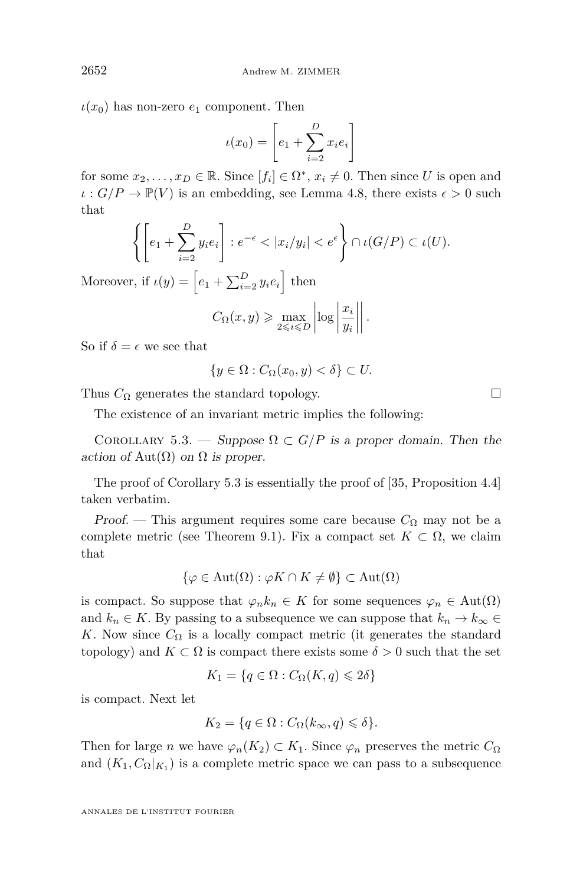$\iota(x_0)$  has non-zero  $e_1$  component. Then

$$
\iota(x_0) = \left[e_1 + \sum_{i=2}^{D} x_i e_i\right]
$$

for some  $x_2, \ldots, x_D \in \mathbb{R}$ . Since  $[f_i] \in \Omega^*, x_i \neq 0$ . Then since *U* is open and  $\iota$  :  $G/P \to \mathbb{P}(V)$  is an embedding, see Lemma [4.8,](#page-15-1) there exists  $\epsilon > 0$  such that

$$
\left\{ \left[e_1 + \sum_{i=2}^D y_i e_i\right] : e^{-\epsilon} < |x_i/y_i| < e^{\epsilon} \right\} \cap \iota(G/P) \subset \iota(U).
$$

Moreover, if  $\iota(y) = \left[e_1 + \sum_{i=2}^D y_i e_i\right]$  then

$$
C_{\Omega}(x,y) \ge \max_{2 \le i \le D} \left| \log \left| \frac{x_i}{y_i} \right| \right|.
$$

So if  $\delta = \epsilon$  we see that

$$
\{y \in \Omega : C_{\Omega}(x_0, y) < \delta\} \subset U.
$$

Thus  $C_{\Omega}$  generates the standard topology.

The existence of an invariant metric implies the following:

<span id="page-18-0"></span>COROLLARY 5.3. — Suppose  $\Omega \subset G/P$  is a proper domain. Then the action of Aut $(\Omega)$  on  $\Omega$  is proper.

The proof of Corollary [5.3](#page-18-0) is essentially the proof of [\[35,](#page-28-2) Proposition 4.4] taken verbatim.

Proof. — This argument requires some care because  $C_{\Omega}$  may not be a complete metric (see Theorem [9.1\)](#page-25-0). Fix a compact set  $K \subset \Omega$ , we claim that

$$
\{\varphi \in \text{Aut}(\Omega) : \varphi K \cap K \neq \emptyset\} \subset \text{Aut}(\Omega)
$$

is compact. So suppose that  $\varphi_n k_n \in K$  for some sequences  $\varphi_n \in \text{Aut}(\Omega)$ and  $k_n \in K$ . By passing to a subsequence we can suppose that  $k_n \to k_\infty \in$ *K*. Now since  $C_{\Omega}$  is a locally compact metric (it generates the standard topology) and  $K \subset \Omega$  is compact there exists some  $\delta > 0$  such that the set

$$
K_1 = \{ q \in \Omega : C_{\Omega}(K, q) \leq 2\delta \}
$$

is compact. Next let

$$
K_2 = \{ q \in \Omega : C_{\Omega}(k_{\infty}, q) \leq \delta \}.
$$

Then for large *n* we have  $\varphi_n(K_2) \subset K_1$ . Since  $\varphi_n$  preserves the metric  $C_{\Omega}$ and  $(K_1, C_{\Omega}|_{K_1})$  is a complete metric space we can pass to a subsequence

ANNALES DE L'INSTITUT FOURIER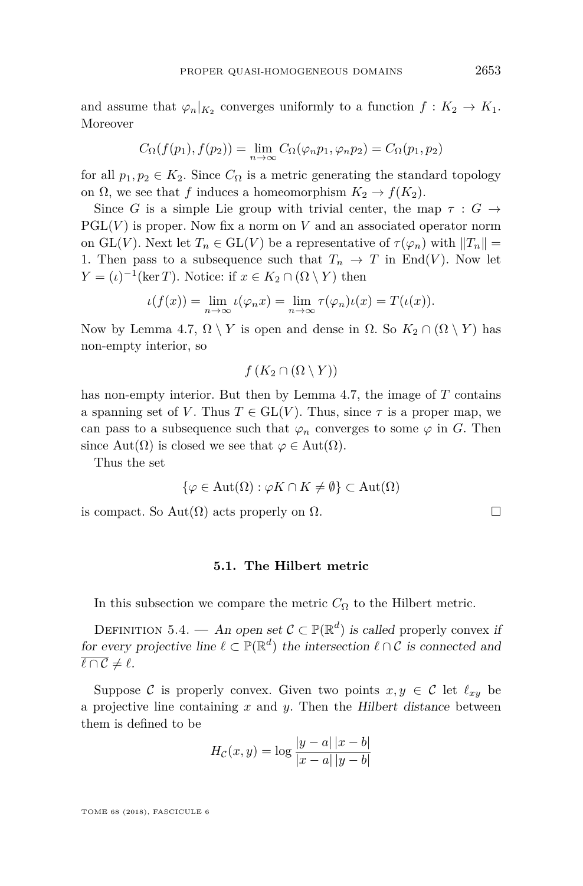and assume that  $\varphi_n|_{K_2}$  converges uniformly to a function  $f: K_2 \to K_1$ . Moreover

$$
C_{\Omega}(f(p_1), f(p_2)) = \lim_{n \to \infty} C_{\Omega}(\varphi_n p_1, \varphi_n p_2) = C_{\Omega}(p_1, p_2)
$$

for all  $p_1, p_2 \in K_2$ . Since  $C_{\Omega}$  is a metric generating the standard topology on  $\Omega$ , we see that *f* induces a homeomorphism  $K_2 \to f(K_2)$ .

Since *G* is a simple Lie group with trivial center, the map  $\tau : G \rightarrow$ PGL(*V* ) is proper. Now fix a norm on *V* and an associated operator norm on GL(*V*). Next let  $T_n \in GL(V)$  be a representative of  $\tau(\varphi_n)$  with  $||T_n|| =$ 1. Then pass to a subsequence such that  $T_n \to T$  in End(*V*). Now let  $Y = (\iota)^{-1}(\ker T)$ . Notice: if  $x \in K_2 \cap (\Omega \setminus Y)$  then

$$
\iota(f(x)) = \lim_{n \to \infty} \iota(\varphi_n x) = \lim_{n \to \infty} \tau(\varphi_n)\iota(x) = T(\iota(x)).
$$

Now by Lemma [4.7,](#page-14-1)  $\Omega \setminus Y$  is open and dense in  $\Omega$ . So  $K_2 \cap (\Omega \setminus Y)$  has non-empty interior, so

$$
f(K_2 \cap (\Omega \setminus Y))
$$

has non-empty interior. But then by Lemma [4.7,](#page-14-1) the image of *T* contains a spanning set of *V*. Thus  $T \in GL(V)$ . Thus, since  $\tau$  is a proper map, we can pass to a subsequence such that  $\varphi_n$  converges to some  $\varphi$  in *G*. Then since  $Aut(\Omega)$  is closed we see that  $\varphi \in Aut(\Omega)$ .

Thus the set

$$
\{\varphi \in \text{Aut}(\Omega) : \varphi K \cap K \neq \emptyset\} \subset \text{Aut}(\Omega)
$$

is compact. So Aut $(\Omega)$  acts properly on  $\Omega$ .

#### **5.1. The Hilbert metric**

<span id="page-19-0"></span>In this subsection we compare the metric  $C_{\Omega}$  to the Hilbert metric.

DEFINITION 5.4. — An open set  $\mathcal{C} \subset \mathbb{P}(\mathbb{R}^d)$  is called properly convex if for every projective line  $\ell \subset \mathbb{P}(\mathbb{R}^d)$  the intersection  $\ell \cap C$  is connected and  $\overline{\ell \cap C} \neq \ell$ .

Suppose C is properly convex. Given two points  $x, y \in C$  let  $\ell_{xy}$  be a projective line containing *x* and *y*. Then the Hilbert distance between them is defined to be

$$
H_{\mathcal{C}}(x, y) = \log \frac{|y - a| |x - b|}{|x - a| |y - b|}
$$

TOME 68 (2018), FASCICULE 6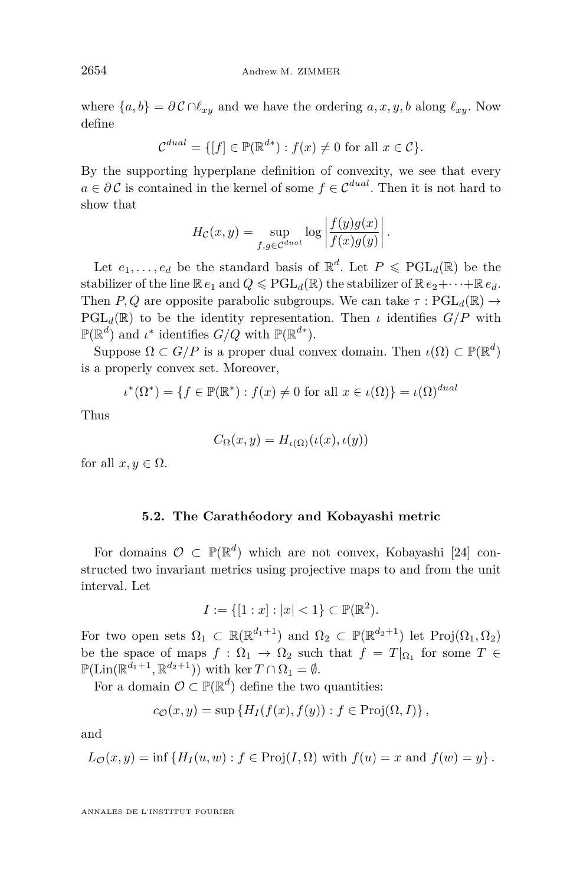where  $\{a, b\} = \partial C \cap \ell_{xy}$  and we have the ordering  $a, x, y, b$  along  $\ell_{xy}$ . Now define

$$
\mathcal{C}^{dual} = \{ [f] \in \mathbb{P}(\mathbb{R}^{d*}) : f(x) \neq 0 \text{ for all } x \in \mathcal{C} \}.
$$

By the supporting hyperplane definition of convexity, we see that every *a* ∈  $\partial$  C is contained in the kernel of some  $f \in C^{dual}$ . Then it is not hard to show that

$$
H_C(x,y) = \sup_{f,g \in C^{dual}} \log \left| \frac{f(y)g(x)}{f(x)g(y)} \right|.
$$

Let  $e_1, \ldots, e_d$  be the standard basis of  $\mathbb{R}^d$ . Let  $P \leqslant \mathrm{PGL}_d(\mathbb{R})$  be the stabilizer of the line  $\mathbb{R} e_1$  and  $Q \leq \text{PGL}_d(\mathbb{R})$  the stabilizer of  $\mathbb{R} e_2 + \cdots + \mathbb{R} e_d$ . Then *P*, *Q* are opposite parabolic subgroups. We can take  $\tau$  :  $PGL_d(\mathbb{R}) \to$  $PGL_d(\mathbb{R})$  to be the identity representation. Then *ι* identifies  $G/P$  with  $\mathbb{P}(\mathbb{R}^d)$  and  $\iota^*$  identifies  $G/Q$  with  $\mathbb{P}(\mathbb{R}^{d*})$ .

Suppose  $\Omega \subset G/P$  is a proper dual convex domain. Then  $\iota(\Omega) \subset \mathbb{P}(\mathbb{R}^d)$ is a properly convex set. Moreover,

$$
\iota^*(\Omega^*) = \{ f \in \mathbb{P}(\mathbb{R}^*) : f(x) \neq 0 \text{ for all } x \in \iota(\Omega) \} = \iota(\Omega)^{dual}
$$

Thus

$$
C_{\Omega}(x,y) = H_{\iota(\Omega)}(\iota(x), \iota(y))
$$

for all  $x, y \in \Omega$ .

#### **5.2. The Carathéodory and Kobayashi metric**

For domains  $\mathcal{O} \subset \mathbb{P}(\mathbb{R}^d)$  which are not convex, Kobayashi [\[24\]](#page-27-9) constructed two invariant metrics using projective maps to and from the unit interval. Let

$$
I := \{ [1 : x] : |x| < 1 \} \subset \mathbb{P}(\mathbb{R}^2).
$$

For two open sets  $\Omega_1 \subset \mathbb{R}(\mathbb{R}^{d_1+1})$  and  $\Omega_2 \subset \mathbb{P}(\mathbb{R}^{d_2+1})$  let  $\text{Proj}(\Omega_1, \Omega_2)$ be the space of maps  $f : \Omega_1 \to \Omega_2$  such that  $f = T|_{\Omega_1}$  for some  $T \in$  $\mathbb{P}(\text{Lin}(\mathbb{R}^{d_1+1}, \mathbb{R}^{d_2+1}))$  with ker  $T \cap \Omega_1 = \emptyset$ .

For a domain  $\mathcal{O} \subset \mathbb{P}(\mathbb{R}^d)$  define the two quantities:

$$
c_{\mathcal{O}}(x,y) = \sup \{ H_I(f(x), f(y)) : f \in \mathrm{Proj}(\Omega, I) \},
$$

and

$$
L_{\mathcal{O}}(x, y) = \inf \{ H_I(u, w) : f \in \text{Proj}(I, \Omega) \text{ with } f(u) = x \text{ and } f(w) = y \}.
$$

ANNALES DE L'INSTITUT FOURIER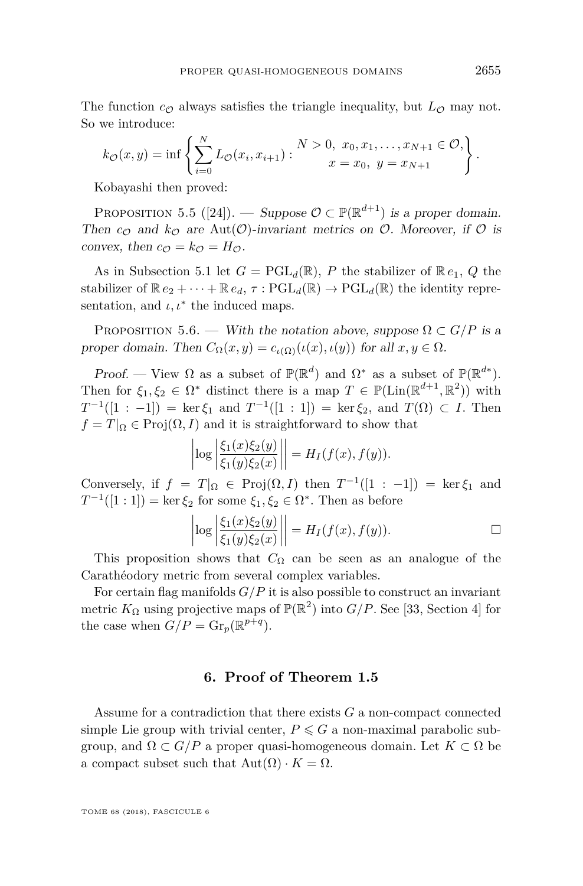The function  $c_{\mathcal{O}}$  always satisfies the triangle inequality, but  $L_{\mathcal{O}}$  may not. So we introduce:

$$
k_{\mathcal{O}}(x, y) = \inf \left\{ \sum_{i=0}^{N} L_{\mathcal{O}}(x_i, x_{i+1}) : \begin{matrix} N > 0, x_0, x_1, \dots, x_{N+1} \in \mathcal{O}, \\ x = x_0, y = x_{N+1} \end{matrix} \right\}.
$$

Kobayashi then proved:

PROPOSITION 5.5 ([\[24\]](#page-27-9)). — Suppose  $\mathcal{O} \subset \mathbb{P}(\mathbb{R}^{d+1})$  is a proper domain. Then  $c_{\mathcal{O}}$  and  $k_{\mathcal{O}}$  are Aut( $\mathcal{O}$ )-invariant metrics on  $\mathcal{O}$ . Moreover, if  $\mathcal{O}$  is *convex, then*  $c_{\mathcal{O}} = k_{\mathcal{O}} = H_{\mathcal{O}}$ *.* 

As in Subsection [5.1](#page-19-0) let  $G = \text{PGL}_d(\mathbb{R})$ , P the stabilizer of  $\mathbb{R}e_1$ , Q the stabilizer of  $\mathbb{R} e_2 + \cdots + \mathbb{R} e_d$ ,  $\tau : \mathrm{PGL}_d(\mathbb{R}) \to \mathrm{PGL}_d(\mathbb{R})$  the identity representation, and  $\iota, \iota^*$  the induced maps.

PROPOSITION 5.6. — With the notation above, suppose  $\Omega \subset G/P$  is a proper domain. Then  $C_{\Omega}(x, y) = c_{\iota(\Omega)}(\iota(x), \iota(y))$  for all  $x, y \in \Omega$ .

Proof. — View  $\Omega$  as a subset of  $\mathbb{P}(\mathbb{R}^d)$  and  $\Omega^*$  as a subset of  $\mathbb{P}(\mathbb{R}^{d*})$ . Then for  $\xi_1, \xi_2 \in \Omega^*$  distinct there is a map  $T \in \mathbb{P}(\text{Lin}(\mathbb{R}^{d+1}, \mathbb{R}^2))$  with  $T^{-1}([1:-1]) = \ker \xi_1$  and  $T^{-1}([1:1]) = \ker \xi_2$ , and  $T(\Omega) \subset I$ . Then  $f = T|_{\Omega} \in \text{Proj}(\Omega, I)$  and it is straightforward to show that

$$
\left|\log\left|\frac{\xi_1(x)\xi_2(y)}{\xi_1(y)\xi_2(x)}\right|\right| = H_I(f(x), f(y)).
$$

Conversely, if  $f = T|_{\Omega} \in \text{Proj}(\Omega, I)$  then  $T^{-1}([1:-1]) = \ker \xi_1$  and  $T^{-1}([1:1]) = \ker \xi_2$  for some  $\xi_1, \xi_2 \in \Omega^*$ . Then as before

$$
\left| \log \left| \frac{\xi_1(x)\xi_2(y)}{\xi_1(y)\xi_2(x)} \right| \right| = H_I(f(x), f(y)). \qquad \Box
$$

This proposition shows that  $C_{\Omega}$  can be seen as an analogue of the Carathéodory metric from several complex variables.

For certain flag manifolds *G/P* it is also possible to construct an invariant metric  $K_{\Omega}$  using projective maps of  $\mathbb{P}(\mathbb{R}^2)$  into  $G/P$ . See [\[33,](#page-28-5) Section 4] for the case when  $G/P = \mathrm{Gr}_p(\mathbb{R}^{p+q}).$ 

#### **6. Proof of Theorem [1.5](#page-5-0)**

<span id="page-21-0"></span>Assume for a contradiction that there exists *G* a non-compact connected simple Lie group with trivial center,  $P \leq G$  a non-maximal parabolic subgroup, and  $\Omega \subset G/P$  a proper quasi-homogeneous domain. Let  $K \subset \Omega$  be a compact subset such that  $Aut(\Omega) \cdot K = \Omega$ .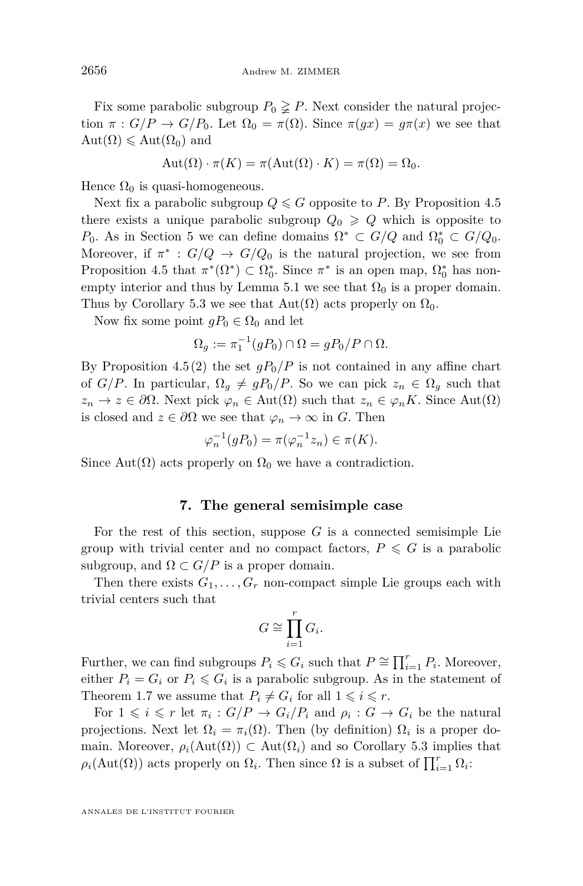Fix some parabolic subgroup  $P_0 \geq P$ . Next consider the natural projection  $\pi$ :  $G/P \to G/P_0$ . Let  $\Omega_0 = \pi(\Omega)$ . Since  $\pi(gx) = g\pi(x)$  we see that  $Aut(\Omega) \leqslant Aut(\Omega_0)$  and

$$
Aut(\Omega) \cdot \pi(K) = \pi(Aut(\Omega) \cdot K) = \pi(\Omega) = \Omega_0.
$$

Hence  $\Omega_0$  is quasi-homogeneous.

Next fix a parabolic subgroup  $Q \leq G$  opposite to P. By Proposition [4.5](#page-13-0) there exists a unique parabolic subgroup  $Q_0 \geq Q$  which is opposite to *P*<sub>0</sub>. As in Section [5](#page-15-2) we can define domains  $\Omega^* \subset G/Q$  and  $\Omega_0^* \subset G/Q_0$ . Moreover, if  $\pi^*$ :  $G/Q \to G/Q_0$  is the natural projection, we see from Proposition [4.5](#page-13-0) that  $\pi^*(\Omega^*) \subset \Omega_0^*$ . Since  $\pi^*$  is an open map,  $\Omega_0^*$  has non-empty interior and thus by Lemma [5.1](#page-16-0) we see that  $\Omega_0$  is a proper domain. Thus by Corollary [5.3](#page-18-0) we see that  $\text{Aut}(\Omega)$  acts properly on  $\Omega_0$ .

Now fix some point  $qP_0 \n\in \Omega_0$  and let

$$
\Omega_g := \pi_1^{-1}(gP_0) \cap \Omega = gP_0/P \cap \Omega.
$$

By Proposition [4.5](#page-13-0)[\(2\)](#page-13-3) the set  $gP_0/P$  is not contained in any affine chart of *G/P*. In particular,  $\Omega_g \neq gP_0/P$ . So we can pick  $z_n \in \Omega_g$  such that  $z_n \to z \in \partial\Omega$ . Next pick  $\varphi_n \in \text{Aut}(\Omega)$  such that  $z_n \in \varphi_n K$ . Since  $\text{Aut}(\Omega)$ is closed and  $z \in \partial\Omega$  we see that  $\varphi_n \to \infty$  in *G*. Then

$$
\varphi_n^{-1}(gP_0) = \pi(\varphi_n^{-1}z_n) \in \pi(K).
$$

Since Aut( $\Omega$ ) acts properly on  $\Omega_0$  we have a contradiction.

#### **7. The general semisimple case**

<span id="page-22-0"></span>For the rest of this section, suppose *G* is a connected semisimple Lie group with trivial center and no compact factors,  $P \leq G$  is a parabolic subgroup, and  $\Omega \subset G/P$  is a proper domain.

Then there exists  $G_1, \ldots, G_r$  non-compact simple Lie groups each with trivial centers such that

$$
G \cong \prod_{i=1}^r G_i.
$$

Further, we can find subgroups  $P_i \leq G_i$  such that  $P \cong \prod_{i=1}^r P_i$ . Moreover, either  $P_i = G_i$  or  $P_i \leq G_i$  is a parabolic subgroup. As in the statement of Theorem [1.7](#page-6-0) we assume that  $P_i \neq G_i$  for all  $1 \leq i \leq r$ .

For  $1 \leq i \leq r$  let  $\pi_i : G/P \to G_i/P_i$  and  $\rho_i : G \to G_i$  be the natural projections. Next let  $\Omega_i = \pi_i(\Omega)$ . Then (by definition)  $\Omega_i$  is a proper domain. Moreover,  $\rho_i(\text{Aut}(\Omega)) \subset \text{Aut}(\Omega_i)$  and so Corollary [5.3](#page-18-0) implies that  $\rho_i(\text{Aut}(\Omega))$  acts properly on  $\Omega_i$ . Then since  $\Omega$  is a subset of  $\prod_{i=1}^r \Omega_i$ :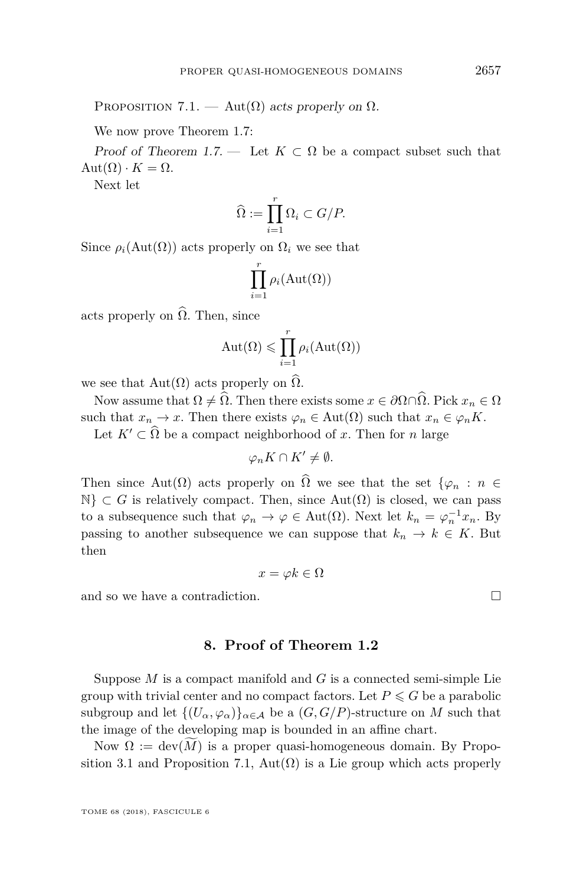<span id="page-23-0"></span>PROPOSITION 7.1. — Aut $(\Omega)$  acts properly on  $\Omega$ .

We now prove Theorem [1.7:](#page-6-0)

Proof of Theorem [1.7.](#page-6-0) — Let  $K \subset \Omega$  be a compact subset such that  $Aut(\Omega) \cdot K = \Omega$ .

Next let

$$
\widehat{\Omega} := \prod_{i=1}^r \Omega_i \subset G/P.
$$

Since  $\rho_i(\text{Aut}(\Omega))$  acts properly on  $\Omega_i$  we see that

$$
\prod_{i=1}^r \rho_i(\operatorname{Aut}(\Omega))
$$

acts properly on  $\widehat{\Omega}$ . Then, since

$$
Aut(\Omega) \leq \prod_{i=1}^r \rho_i(Aut(\Omega))
$$

we see that  $Aut(\Omega)$  acts properly on  $\widehat{\Omega}$ .

Now assume that  $\Omega \neq \widehat{\Omega}$ . Then there exists some  $x \in \partial \Omega \cap \widehat{\Omega}$ . Pick  $x_n \in \Omega$ such that  $x_n \to x$ . Then there exists  $\varphi_n \in \text{Aut}(\Omega)$  such that  $x_n \in \varphi_n K$ .

Let  $K' \subset \Omega$  be a compact neighborhood of *x*. Then for *n* large

 $\varphi_n K \cap K' \neq \emptyset.$ 

Then since Aut( $\Omega$ ) acts properly on  $\widehat{\Omega}$  we see that the set  $\{\varphi_n : n \in$  $\mathbb{N}\}\subset G$  is relatively compact. Then, since  $\text{Aut}(\Omega)$  is closed, we can pass to a subsequence such that  $\varphi_n \to \varphi \in \text{Aut}(\Omega)$ . Next let  $k_n = \varphi_n^{-1} x_n$ . By passing to another subsequence we can suppose that  $k_n \to k \in K$ . But then

$$
x = \varphi k \in \Omega
$$

and so we have a contradiction.

#### **8. Proof of Theorem [1.2](#page-3-0)**

<span id="page-23-1"></span>Suppose *M* is a compact manifold and *G* is a connected semi-simple Lie group with trivial center and no compact factors. Let  $P \le G$  be a parabolic subgroup and let  $\{(U_\alpha, \varphi_\alpha)\}_{\alpha \in \mathcal{A}}$  be a  $(G, G/P)$ -structure on M such that the image of the developing map is bounded in an affine chart.

Now  $\Omega := \text{dev}(M)$  is a proper quasi-homogeneous domain. By Propo-sition [3.1](#page-11-0) and Proposition [7.1,](#page-23-0)  $Aut(\Omega)$  is a Lie group which acts properly

TOME 68 (2018), FASCICULE 6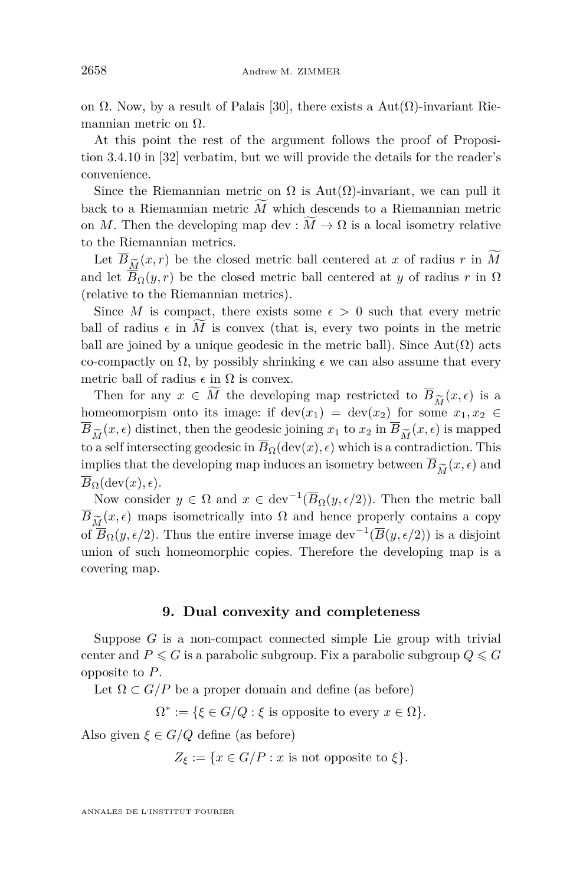on  $\Omega$ . Now, by a result of Palais [\[30\]](#page-28-7), there exists a Aut $(\Omega)$ -invariant Riemannian metric on  $\Omega$ .

At this point the rest of the argument follows the proof of Proposition 3.4.10 in [\[32\]](#page-28-8) verbatim, but we will provide the details for the reader's convenience.

Since the Riemannian metric on  $\Omega$  is Aut( $\Omega$ )-invariant, we can pull it back to a Riemannian metric  $\tilde{M}$  which descends to a Riemannian metric on *M*. Then the developing map dev :  $\widetilde{M} \to \Omega$  is a local isometry relative to the Riemannian metrics.

Let  $B_{\widetilde{M}}(x,r)$  be the closed metric ball centered at *x* of radius *r* in *M* d let  $\overline{B}_{\Omega}(u,r)$  be the closed metric ball centered at *u* of radius *r* in  $\Omega$ and let  $\overline{B}_{\Omega}(y, r)$  be the closed metric ball centered at *y* of radius *r* in  $\Omega$ (relative to the Riemannian metrics).

Since M is compact, there exists some  $\epsilon > 0$  such that every metric ball of radius  $\epsilon$  in *M* is convex (that is, every two points in the metric ball are joined by a unique geodesic in the metric ball). Since  $Aut(\Omega)$  acts co-compactly on  $\Omega$ , by possibly shrinking  $\epsilon$  we can also assume that every metric ball of radius  $\epsilon$  in  $\Omega$  is convex.

Then for any  $x \in M$  the developing map restricted to  $B_{\widetilde{M}}(x, \epsilon)$  is a meomorpism onto its image: if  $\text{dev}(x_1) = \text{dev}(x_2)$  for some  $x_1, x_2 \in$ homeomorpism onto its image: if  $dev(x_1) = dev(x_2)$  for some  $x_1, x_2 \in$  $B_{\widetilde{M}}(x,\epsilon)$  distinct, then the geodesic joining  $x_1$  to  $x_2$  in  $B_{\widetilde{M}}(x,\epsilon)$  is mapped<br>to a self intersecting geodesic in  $\overline{B}_\Omega(\text{dev}(x), \epsilon)$  which is a contradiction. This to a self intersecting geodesic in  $\overline{B}_{\Omega}(\text{dev}(x), \epsilon)$  which is a contradiction. This implies that the developing map induces an isometry between  $B_{\widetilde{M}}(x,\epsilon)$  and  $\overline{B}_{\Omega}(\text{dev}(x), \epsilon)$  $\overline{B}_\Omega(\text{dev}(x), \epsilon).$ 

Now consider  $y \in \Omega$  and  $x \in \text{dev}^{-1}(\overline{B}_{\Omega}(y,\epsilon/2))$ . Then the metric ball  $B_{\widetilde{M}}(x,\epsilon)$  maps isometrically into  $\Omega$  and hence properly contains a copy of  $\overline{B}_\Omega(u,\epsilon/2)$ . Thus the entire inverse image dev<sup>-1</sup>( $\overline{B}(u,\epsilon/2)$ ) is a disjoint of  $\overline{B}_{\Omega}(y, \epsilon/2)$ . Thus the entire inverse image dev<sup>-1</sup>( $\overline{B}(y, \epsilon/2)$ ) is a disjoint union of such homeomorphic copies. Therefore the developing map is a covering map.

#### **9. Dual convexity and completeness**

Suppose *G* is a non-compact connected simple Lie group with trivial center and  $P \le G$  is a parabolic subgroup. Fix a parabolic subgroup  $Q \le G$ opposite to *P*.

Let  $\Omega \subset G/P$  be a proper domain and define (as before)

 $\Omega^* := \{ \xi \in G/Q : \xi \text{ is opposite to every } x \in \Omega \}.$ 

Also given  $\xi \in G/Q$  define (as before)

 $Z_{\xi} := \{x \in G/P : x \text{ is not opposite to } \xi\}.$ 

ANNALES DE L'INSTITUT FOURIER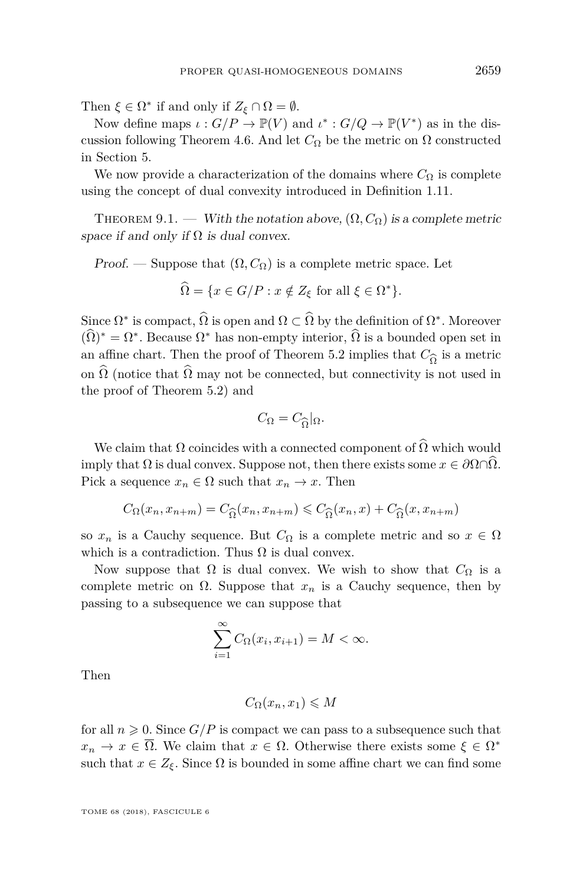Then  $\xi \in \Omega^*$  if and only if  $Z_{\xi} \cap \Omega = \emptyset$ .

Now define maps  $\iota: G/P \to \mathbb{P}(V)$  and  $\iota^*: G/Q \to \mathbb{P}(V^*)$  as in the dis-cussion following Theorem [4.6.](#page-14-0) And let  $C_{\Omega}$  be the metric on  $\Omega$  constructed in Section [5.](#page-15-2)

We now provide a characterization of the domains where  $C_{\Omega}$  is complete using the concept of dual convexity introduced in Definition [1.11.](#page-7-1)

<span id="page-25-0"></span>THEOREM 9.1. — With the notation above,  $(\Omega, C_{\Omega})$  is a complete metric space if and only if  $\Omega$  is dual convex.

Proof. — Suppose that  $(\Omega, C_{\Omega})$  is a complete metric space. Let

$$
\widehat{\Omega} = \{ x \in G/P : x \notin Z_{\xi} \text{ for all } \xi \in \Omega^* \}.
$$

Since  $\Omega^*$  is compact,  $\Omega$  is open and  $\Omega \subset \Omega$  by the definition of  $\Omega^*$ . Moreover  $(\hat{\Omega})^* = \Omega^*$ . Because  $\Omega^*$  has non-empty interior,  $\hat{\Omega}$  is a bounded open set in an affine chart. Then the proof of Theorem [5.2](#page-17-0) implies that  $C_{\widehat{\Omega}}$  is a metric<br>on  $\widehat{\Omega}$  (potice that  $\widehat{\Omega}$  may not be connected but connectivity is not used in on  $\Omega$  (notice that  $\Omega$  may not be connected, but connectivity is not used in the proof of Theorem [5.2\)](#page-17-0) and

$$
C_{\Omega}=C_{\widehat{\Omega}}|_{\Omega}.
$$

We claim that  $\Omega$  coincides with a connected component of  $\widehat{\Omega}$  which would imply that  $\Omega$  is dual convex. Suppose not, then there exists some  $x \in \partial\Omega \cap \Omega$ . Pick a sequence  $x_n \in \Omega$  such that  $x_n \to x$ . Then

$$
C_{\Omega}(x_n, x_{n+m}) = C_{\widehat{\Omega}}(x_n, x_{n+m}) \leq C_{\widehat{\Omega}}(x_n, x) + C_{\widehat{\Omega}}(x, x_{n+m})
$$

so  $x_n$  is a Cauchy sequence. But  $C_{\Omega}$  is a complete metric and so  $x \in \Omega$ which is a contradiction. Thus  $\Omega$  is dual convex.

Now suppose that  $\Omega$  is dual convex. We wish to show that  $C_{\Omega}$  is a complete metric on  $\Omega$ . Suppose that  $x_n$  is a Cauchy sequence, then by passing to a subsequence we can suppose that

$$
\sum_{i=1}^{\infty} C_{\Omega}(x_i, x_{i+1}) = M < \infty.
$$

Then

$$
C_{\Omega}(x_n, x_1) \leqslant M
$$

for all  $n \geqslant 0$ . Since  $G/P$  is compact we can pass to a subsequence such that  $x_n \to x \in \overline{\Omega}$ . We claim that  $x \in \Omega$ . Otherwise there exists some  $\xi \in \Omega^*$ such that  $x \in Z_{\xi}$ . Since  $\Omega$  is bounded in some affine chart we can find some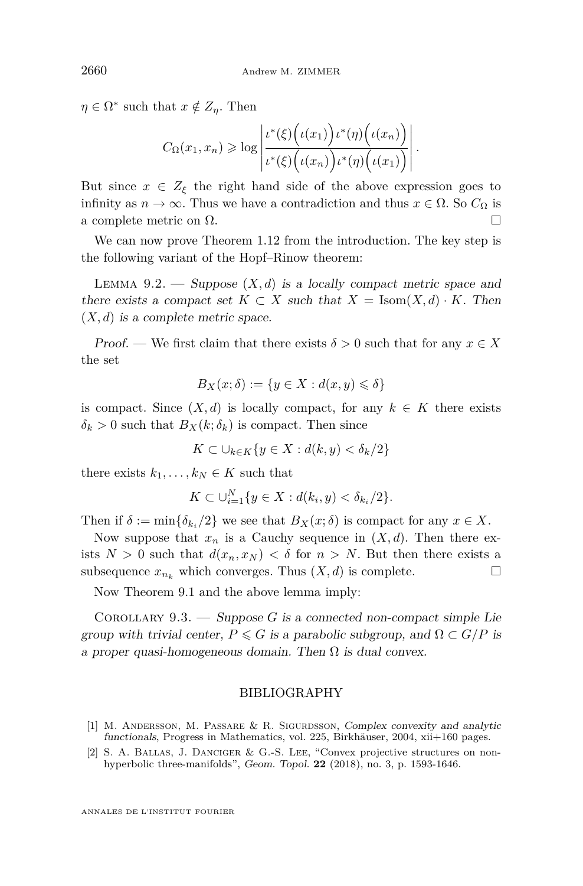$\eta \in \Omega^*$  such that  $x \notin Z_{\eta}$ . Then

$$
C_{\Omega}(x_1, x_n) \geqslant \log \left| \frac{\iota^*(\xi) \big( \iota(x_1) \big) \iota^*(\eta) \big( \iota(x_n) \big)}{\iota^*(\xi) \big( \iota(x_n) \big) \iota^*(\eta) \big( \iota(x_1) \big)} \right|.
$$

But since  $x \in Z_f$  the right hand side of the above expression goes to infinity as  $n \to \infty$ . Thus we have a contradiction and thus  $x \in \Omega$ . So  $C_{\Omega}$  is a complete metric on  $\Omega$ .

We can now prove Theorem [1.12](#page-7-2) from the introduction. The key step is the following variant of the Hopf–Rinow theorem:

LEMMA  $9.2.$  — Suppose  $(X,d)$  is a locally compact metric space and there exists a compact set  $K \subset X$  such that  $X = \text{Isom}(X, d) \cdot K$ . Then  $(X, d)$  is a complete metric space.

Proof. — We first claim that there exists  $\delta > 0$  such that for any  $x \in X$ the set

$$
B_X(x;\delta) := \{ y \in X : d(x,y) \leq \delta \}
$$

is compact. Since  $(X, d)$  is locally compact, for any  $k \in K$  there exists  $\delta_k$  > 0 such that  $B_X(k; \delta_k)$  is compact. Then since

$$
K \subset \cup_{k \in K} \{ y \in X : d(k, y) < \delta_k/2 \}
$$

there exists  $k_1, \ldots, k_N \in K$  such that

$$
K \subset \bigcup_{i=1}^{N} \{ y \in X : d(k_i, y) < \delta_{k_i}/2 \}.
$$

Then if  $\delta := \min\{\delta_{k_i}/2\}$  we see that  $B_X(x;\delta)$  is compact for any  $x \in X$ .

Now suppose that  $x_n$  is a Cauchy sequence in  $(X, d)$ . Then there exists  $N > 0$  such that  $d(x_n, x_N) < \delta$  for  $n > N$ . But then there exists a subsequence  $x_{n_k}$  which converges. Thus  $(X, d)$  is complete.

Now Theorem [9.1](#page-25-0) and the above lemma imply:

<span id="page-26-0"></span>COROLLARY  $9.3.$  — Suppose *G* is a connected non-compact simple Lie group with trivial center,  $P \le G$  is a parabolic subgroup, and  $\Omega \subset G/P$  is a proper quasi-homogeneous domain. Then  $\Omega$  is dual convex.

#### BIBLIOGRAPHY

- <span id="page-26-1"></span>[1] M. Andersson, M. Passare & R. Sigurdsson, Complex convexity and analytic functionals, Progress in Mathematics, vol. 225, Birkhäuser, 2004, xii+160 pages.
- <span id="page-26-2"></span>[2] S. A. Ballas, J. Danciger & G.-S. Lee, "Convex projective structures on nonhyperbolic three-manifolds", Geom. Topol. **22** (2018), no. 3, p. 1593-1646.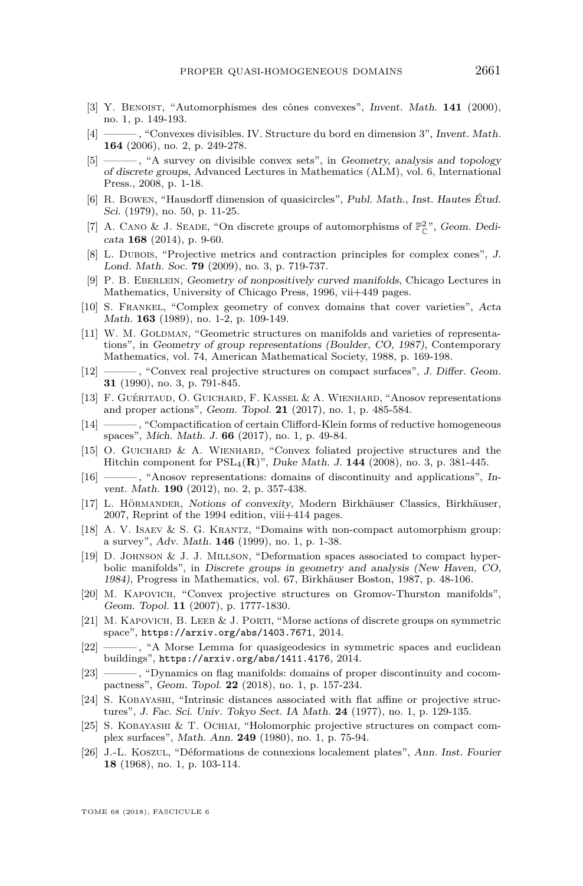- <span id="page-27-14"></span>[3] Y. Benoist, "Automorphismes des cônes convexes", Invent. Math. **141** (2000), no. 1, p. 149-193.
- <span id="page-27-17"></span>[4] ——— , "Convexes divisibles. IV. Structure du bord en dimension 3", Invent. Math. **164** (2006), no. 2, p. 249-278.
- <span id="page-27-1"></span>[5]  $\frac{1}{2}$ , "A survey on divisible convex sets", in Geometry, analysis and topology of discrete groups, Advanced Lectures in Mathematics (ALM), vol. 6, International Press., 2008, p. 1-18.
- <span id="page-27-18"></span>[6] R. Bowen, "Hausdorff dimension of quasicircles", Publ. Math., Inst. Hautes Étud. Sci. (1979), no. 50, p. 11-25.
- <span id="page-27-19"></span>[7] A. CANO & J. SEADE, "On discrete groups of automorphisms of  $\mathbb{P}_{\mathbb{C}}^{2}$ ", Geom. Dedicata **168** (2014), p. 9-60.
- <span id="page-27-11"></span>[8] L. Dubois, "Projective metrics and contraction principles for complex cones", J. Lond. Math. Soc. **79** (2009), no. 3, p. 719-737.
- <span id="page-27-22"></span>[9] P. B. Eberlein, Geometry of nonpositively curved manifolds, Chicago Lectures in Mathematics, University of Chicago Press, 1996, vii+449 pages.
- <span id="page-27-21"></span>[10] S. Frankel, "Complex geometry of convex domains that cover varieties", Acta Math. **163** (1989), no. 1-2, p. 109-149.
- <span id="page-27-0"></span>[11] W. M. GOLDMAN, "Geometric structures on manifolds and varieties of representations", in Geometry of group representations (Boulder, CO, 1987), Contemporary Mathematics, vol. 74, American Mathematical Society, 1988, p. 169-198.
- <span id="page-27-15"></span>[12] ——, "Convex real projective structures on compact surfaces", J. Differ. Geom. **31** (1990), no. 3, p. 791-845.
- <span id="page-27-23"></span>[13] F. Guéritaud, O. Guichard, F. Kassel & A. Wienhard, "Anosov representations and proper actions", Geom. Topol. **21** (2017), no. 1, p. 485-584.
- <span id="page-27-3"></span>[14] ——— , "Compactification of certain Clifford-Klein forms of reductive homogeneous spaces", Mich. Math. J. **66** (2017), no. 1, p. 49-84.
- <span id="page-27-4"></span>[15] O. GUICHARD & A. WIENHARD, "Convex foliated projective structures and the Hitchin component for PSL4(**R**)", Duke Math. J. **144** (2008), no. 3, p. 381-445.
- <span id="page-27-5"></span>[16] ——— , "Anosov representations: domains of discontinuity and applications", Invent. Math. **190** (2012), no. 2, p. 357-438.
- <span id="page-27-10"></span>[17] L. Hörmander, Notions of convexity, Modern Birkhäuser Classics, Birkhäuser, 2007, Reprint of the 1994 edition, viii+414 pages.
- <span id="page-27-2"></span>[18] A. V. Isaev & S. G. Krantz, "Domains with non-compact automorphism group: a survey", Adv. Math. **146** (1999), no. 1, p. 1-38.
- <span id="page-27-12"></span>[19] D. Johnson & J. J. Millson, "Deformation spaces associated to compact hyperbolic manifolds", in Discrete groups in geometry and analysis (New Haven, CO, 1984), Progress in Mathematics, vol. 67, Birkhäuser Boston, 1987, p. 48-106.
- <span id="page-27-16"></span>[20] M. Kapovich, "Convex projective structures on Gromov-Thurston manifolds", Geom. Topol. **11** (2007), p. 1777-1830.
- <span id="page-27-7"></span>[21] M. Kapovich, B. Leeb & J. Porti, "Morse actions of discrete groups on symmetric space", <https://arxiv.org/abs/1403.7671>, 2014.
- <span id="page-27-6"></span>[22] ——— , "A Morse Lemma for quasigeodesics in symmetric spaces and euclidean buildings", <https://arxiv.org/abs/1411.4176>, 2014.
- <span id="page-27-8"></span>[23] ——— , "Dynamics on flag manifolds: domains of proper discontinuity and cocompactness", Geom. Topol. **22** (2018), no. 1, p. 157-234.
- <span id="page-27-9"></span>[24] S. Kobayashi, "Intrinsic distances associated with flat affine or projective structures", J. Fac. Sci. Univ. Tokyo Sect. IA Math. **24** (1977), no. 1, p. 129-135.
- <span id="page-27-20"></span>[25] S. Kobayashi & T. Ochiai, "Holomorphic projective structures on compact complex surfaces", Math. Ann. **249** (1980), no. 1, p. 75-94.
- <span id="page-27-13"></span>[26] J.-L. Koszul, "Déformations de connexions localement plates", Ann. Inst. Fourier **18** (1968), no. 1, p. 103-114.